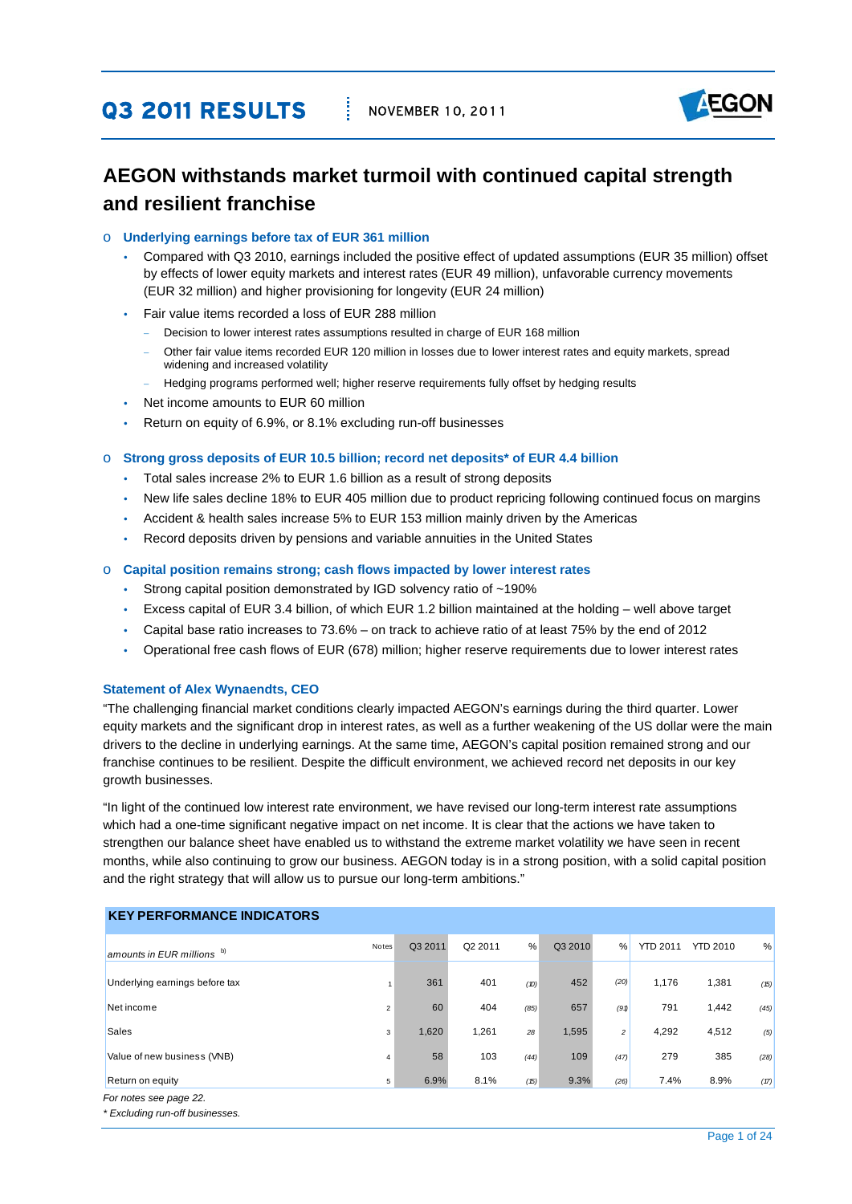## **Q3 2011 RESULTS | NOVEMBER 10, 2011**



## **AEGON withstands market turmoil with continued capital strength and resilient franchise**

#### o **Underlying earnings before tax of EUR 361 million**

- Compared with Q3 2010, earnings included the positive effect of updated assumptions (EUR 35 million) offset by effects of lower equity markets and interest rates (EUR 49 million), unfavorable currency movements (EUR 32 million) and higher provisioning for longevity (EUR 24 million)
- Fair value items recorded a loss of EUR 288 million
	- Decision to lower interest rates assumptions resulted in charge of EUR 168 million
	- − Other fair value items recorded EUR 120 million in losses due to lower interest rates and equity markets, spread widening and increased volatility
	- − Hedging programs performed well; higher reserve requirements fully offset by hedging results
- Net income amounts to EUR 60 million
- Return on equity of 6.9%, or 8.1% excluding run-off businesses

#### o **Strong gross deposits of EUR 10.5 billion; record net deposits\* of EUR 4.4 billion**

- Total sales increase 2% to EUR 1.6 billion as a result of strong deposits
- New life sales decline 18% to EUR 405 million due to product repricing following continued focus on margins
- Accident & health sales increase 5% to EUR 153 million mainly driven by the Americas
- Record deposits driven by pensions and variable annuities in the United States

#### o **Capital position remains strong; cash flows impacted by lower interest rates**

- Strong capital position demonstrated by IGD solvency ratio of ~190%
- Excess capital of EUR 3.4 billion, of which EUR 1.2 billion maintained at the holding well above target
- Capital base ratio increases to 73.6% on track to achieve ratio of at least 75% by the end of 2012
- Operational free cash flows of EUR (678) million; higher reserve requirements due to lower interest rates

#### **Statement of Alex Wynaendts, CEO**

"The challenging financial market conditions clearly impacted AEGON's earnings during the third quarter. Lower equity markets and the significant drop in interest rates, as well as a further weakening of the US dollar were the main drivers to the decline in underlying earnings. At the same time, AEGON's capital position remained strong and our franchise continues to be resilient. Despite the difficult environment, we achieved record net deposits in our key growth businesses.

"In light of the continued low interest rate environment, we have revised our long-term interest rate assumptions which had a one-time significant negative impact on net income. It is clear that the actions we have taken to strengthen our balance sheet have enabled us to withstand the extreme market volatility we have seen in recent months, while also continuing to grow our business. AEGON today is in a strong position, with a solid capital position and the right strategy that will allow us to pursue our long-term ambitions."

## **KEY PERFORMANCE INDICATORS**

| Notes          | Q3 2011 | Q2 2011 | %    | Q3 2010 | %    | <b>YTD 2011</b> | <b>YTD 2010</b> | %    |
|----------------|---------|---------|------|---------|------|-----------------|-----------------|------|
|                | 361     | 401     | (D)  | 452     | (20) | 1,176           | 1,381           | (15) |
| $\overline{2}$ | 60      | 404     | (85) | 657     | (91) | 791             | 1,442           | (45) |
| 3              | 1,620   | 1,261   | 28   | 1,595   | 2    | 4,292           | 4,512           | (5)  |
| 4              | 58      | 103     | (44) | 109     | (47) | 279             | 385             | (28) |
| 5              | 6.9%    | 8.1%    | (15) | 9.3%    |      | 7.4%            | 8.9%            | (17) |
|                |         |         |      |         |      |                 |                 |      |
|                |         |         |      |         |      |                 | (26)            |      |

*\* Excluding run-off businesses.*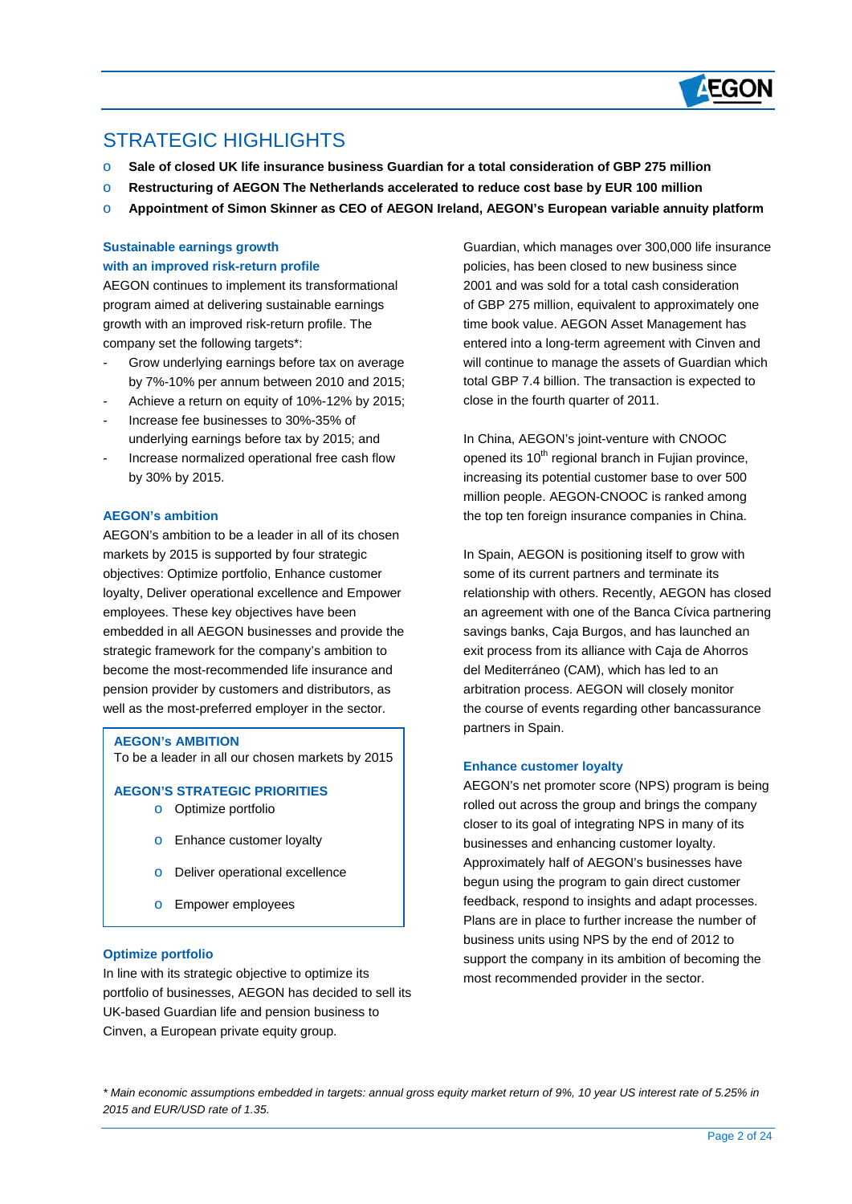

## STRATEGIC HIGHI IGHTS

 $\overline{a}$ 

- o **Sale of closed UK life insurance business Guardian for a total consideration of GBP 275 million**
- o **Restructuring of AEGON The Netherlands accelerated to reduce cost base by EUR 100 million**
- o **Appointment of Simon Skinner as CEO of AEGON Ireland, AEGON's European variable annuity platform**

### **Sustainable earnings growth with an improved risk-return profile**

AEGON continues to implement its transformational program aimed at delivering sustainable earnings growth with an improved risk-return profile. The company set the following targets\*:

- Grow underlying earnings before tax on average by 7%-10% per annum between 2010 and 2015;
- Achieve a return on equity of 10%-12% by 2015;
- Increase fee businesses to 30%-35% of underlying earnings before tax by 2015; and
- Increase normalized operational free cash flow by 30% by 2015.

#### **AEGON's ambition**

AEGON's ambition to be a leader in all of its chosen markets by 2015 is supported by four strategic objectives: Optimize portfolio, Enhance customer loyalty, Deliver operational excellence and Empower employees. These key objectives have been embedded in all AEGON businesses and provide the strategic framework for the company's ambition to become the most-recommended life insurance and pension provider by customers and distributors, as well as the most-preferred employer in the sector.

#### **AEGON's AMBITION**

To be a leader in all our chosen markets by 2015

#### **AEGON'S STRATEGIC PRIORITIES**

- o Optimize portfolio
- o Enhance customer loyalty
- o Deliver operational excellence
- o Empower employees

#### **Optimize portfolio**

In line with its strategic objective to optimize its portfolio of businesses, AEGON has decided to sell its UK-based Guardian life and pension business to Cinven, a European private equity group.

Guardian, which manages over 300,000 life insurance policies, has been closed to new business since 2001 and was sold for a total cash consideration of GBP 275 million, equivalent to approximately one time book value. AEGON Asset Management has entered into a long-term agreement with Cinven and will continue to manage the assets of Guardian which total GBP 7.4 billion. The transaction is expected to close in the fourth quarter of 2011.

In China, AEGON's joint-venture with CNOOC opened its  $10<sup>th</sup>$  regional branch in Fujian province, increasing its potential customer base to over 500 million people. AEGON-CNOOC is ranked among the top ten foreign insurance companies in China.

In Spain, AEGON is positioning itself to grow with some of its current partners and terminate its relationship with others. Recently, AEGON has closed an agreement with one of the Banca Cívica partnering savings banks, Caja Burgos, and has launched an exit process from its alliance with Caja de Ahorros del Mediterráneo (CAM), which has led to an arbitration process. AEGON will closely monitor the course of events regarding other bancassurance partners in Spain.

#### **Enhance customer loyalty**

AEGON's net promoter score (NPS) program is being rolled out across the group and brings the company closer to its goal of integrating NPS in many of its businesses and enhancing customer loyalty. Approximately half of AEGON's businesses have begun using the program to gain direct customer feedback, respond to insights and adapt processes. Plans are in place to further increase the number of business units using NPS by the end of 2012 to support the company in its ambition of becoming the most recommended provider in the sector.

*\* Main economic assumptions embedded in targets: annual gross equity market return of 9%, 10 year US interest rate of 5.25% in 2015 and EUR/USD rate of 1.35.*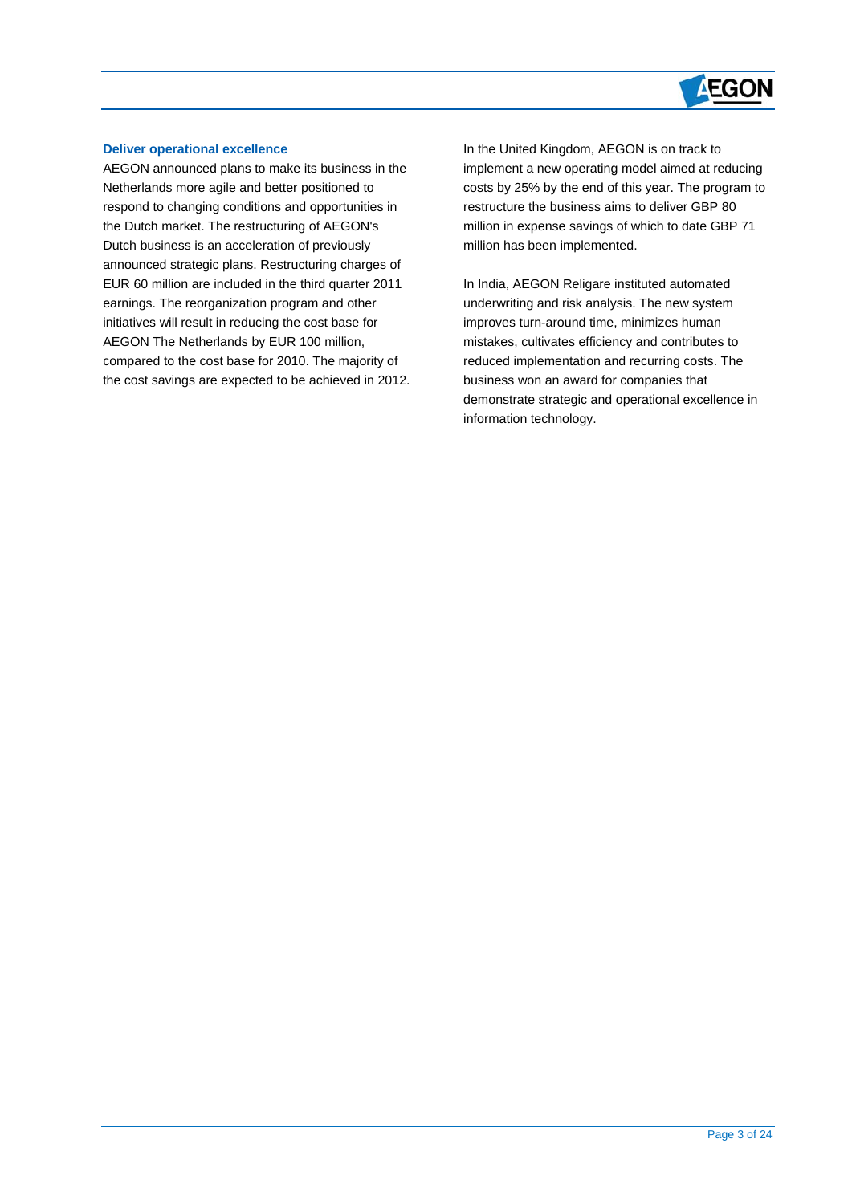# **AEGON**

#### **Deliver operational excellence**

 $\overline{a}$ 

AEGON announced plans to make its business in the Netherlands more agile and better positioned to respond to changing conditions and opportunities in the Dutch market. The restructuring of AEGON's Dutch business is an acceleration of previously announced strategic plans. Restructuring charges of EUR 60 million are included in the third quarter 2011 earnings. The reorganization program and other initiatives will result in reducing the cost base for AEGON The Netherlands by EUR 100 million, compared to the cost base for 2010. The majority of the cost savings are expected to be achieved in 2012. In the United Kingdom, AEGON is on track to implement a new operating model aimed at reducing costs by 25% by the end of this year. The program to restructure the business aims to deliver GBP 80 million in expense savings of which to date GBP 71 million has been implemented.

In India, AEGON Religare instituted automated underwriting and risk analysis. The new system improves turn-around time, minimizes human mistakes, cultivates efficiency and contributes to reduced implementation and recurring costs. The business won an award for companies that demonstrate strategic and operational excellence in information technology.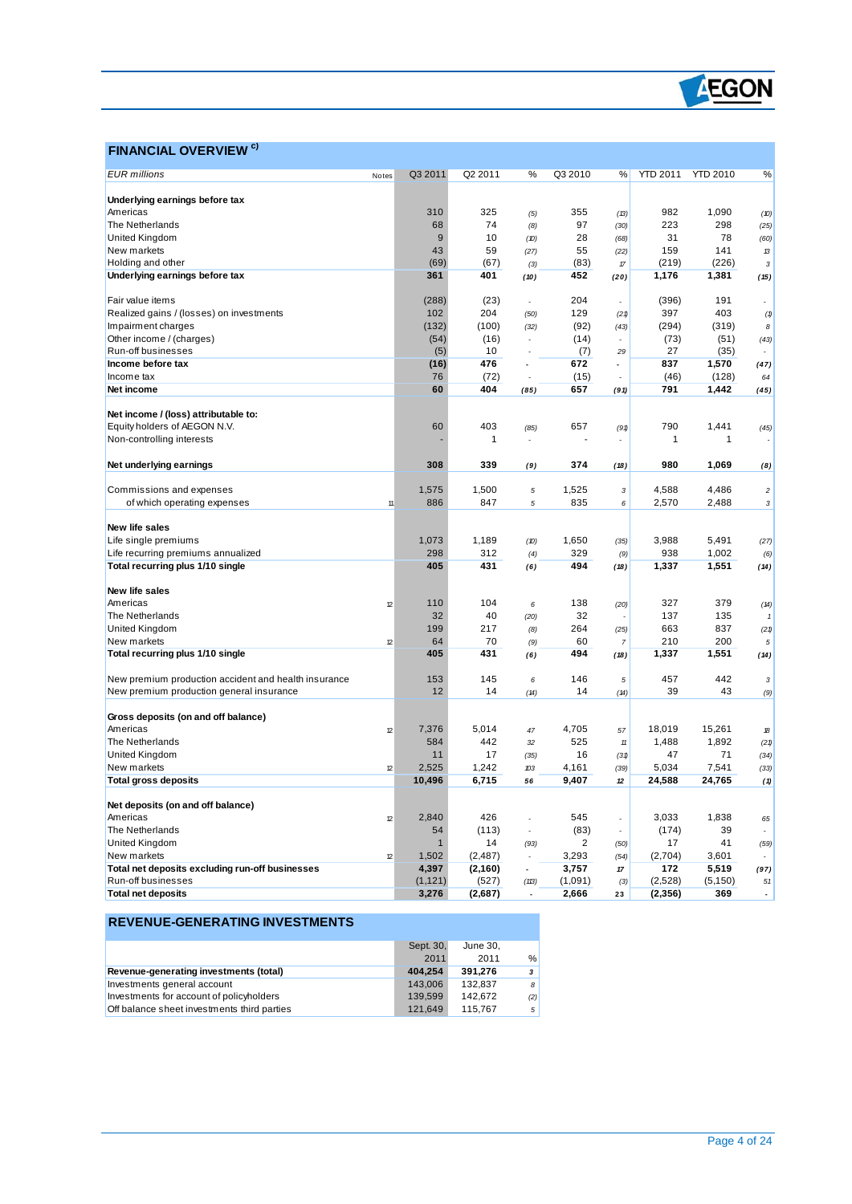

### **FINANCIAL OVERVIEW**<sup>c)</sup>

 $\overline{a}$ 

| Notes<br>Underlying earnings before tax<br>310<br>325<br>355<br>982<br>1,090<br>Americas<br>(13)<br>(5)<br>(10)<br>The Netherlands<br>68<br>74<br>97<br>223<br>298<br>(30)<br>(8)<br>(25)<br>United Kingdom<br>$\boldsymbol{9}$<br>10<br>31<br>78<br>28<br>(60)<br>(10)<br>(68)<br>43<br>55<br>159<br>141<br>New markets<br>59<br>(27)<br>(22)<br>13<br>(69)<br>Holding and other<br>(67)<br>(83)<br>(219)<br>(226)<br>$\pi$<br>$\mathbf{3}$<br>(3)<br>Underlying earnings before tax<br>361<br>401<br>452<br>1,176<br>1,381<br>(10)<br>(15)<br>(20)<br>204<br>191<br>(288)<br>(23)<br>(396)<br>Fair value items<br>L,<br>$\overline{a}$<br>102<br>204<br>129<br>397<br>403<br>Realized gains / (losses) on investments<br>(50)<br>(21)<br>(1)<br>(92)<br>(294)<br>(319)<br>Impairment charges<br>(132)<br>(100)<br>(32)<br>(43)<br>8<br>Other income / (charges)<br>(54)<br>(16)<br>(14)<br>(73)<br>(51)<br>(43)<br>L,<br>27<br>Run-off businesses<br>(5)<br>10<br>(7)<br>(35)<br>29<br>Income before tax<br>476<br>672<br>837<br>1,570<br>(16)<br>$\overline{a}$<br>(47)<br>76<br>(72)<br>(15)<br>(46)<br>(128)<br>Income tax<br>64<br>60<br>404<br>657<br>791<br>1,442<br>Net income<br>(85)<br>(91)<br>(45)<br>Net income / (loss) attributable to:<br>Equity holders of AEGON N.V.<br>60<br>403<br>657<br>790<br>1,441<br>(85)<br>(91)<br>(45)<br>Non-controlling interests<br>$\mathbf{1}$<br>1<br>1<br>÷<br>$\overline{a}$<br>308<br>339<br>374<br>980<br>1,069<br>Net underlying earnings<br>(18)<br>(9)<br>(8)<br>Commissions and expenses<br>1,575<br>1,500<br>1,525<br>4,588<br>4,486<br>5<br>3<br>$\overline{c}$<br>886<br>of which operating expenses<br>847<br>835<br>6<br>2,570<br>2,488<br>11<br>5<br>3<br><b>New life sales</b><br>Life single premiums<br>1,073<br>1,189<br>1,650<br>3,988<br>5,491<br>(D)<br>(35)<br>(27)<br>Life recurring premiums annualized<br>298<br>312<br>329<br>938<br>1,002<br>(4)<br>(9)<br>(6)<br>405<br>Total recurring plus 1/10 single<br>431<br>494<br>1,337<br>1,551<br>(6)<br>(18)<br>(14)<br>New life sales<br>Americas<br>110<br>104<br>138<br>327<br>379<br>12<br>6<br>(20)<br>(14)<br>The Netherlands<br>32<br>40<br>32<br>137<br>135<br>(20)<br>United Kingdom<br>199<br>264<br>663<br>837<br>217<br>(25)<br>(21)<br>(8)<br>New markets<br>64<br>60<br>210<br>200<br>70<br>12<br>(9)<br>$\overline{7}$<br>5<br>Total recurring plus 1/10 single<br>405<br>1,551<br>431<br>494<br>1,337<br>(6)<br>(18)<br>(14)<br>457<br>442<br>New premium production accident and health insurance<br>153<br>145<br>146<br>6<br>$\sqrt{5}$<br>$\sqrt{3}$<br>New premium production general insurance<br>12<br>39<br>43<br>14<br>14<br>(14)<br>(14)<br>(9)<br>Gross deposits (on and off balance)<br>Americas<br>7,376<br>5.014<br>4,705<br>18,019<br>15,261<br>12<br>47<br>57<br>18<br>1,892<br>The Netherlands<br>584<br>442<br>525<br>1,488<br>32<br>$11\,$<br>(21)<br>United Kingdom<br>11<br>16<br>47<br>71<br>17<br>(35)<br>(31)<br>(34)<br>New markets<br>2,525<br>1,242<br>4,161<br>5,034<br>7,541<br>12<br>(39)<br>(33)<br>103<br><b>Total gross deposits</b><br>10,496<br>6,715<br>9,407<br>24,588<br>24,765<br>56<br>$12\,$<br>(1)<br>Net deposits (on and off balance)<br>2,840<br>426<br>545<br>Americas<br>3,033<br>1,838<br>12<br>65<br>$\overline{a}$<br>÷<br>The Netherlands<br>54<br>(113)<br>(83)<br>(174)<br>39<br>J.<br>$\overline{a}$<br>$\overline{2}$<br>United Kingdom<br>14<br>17<br>41<br>$\overline{1}$<br>(93)<br>(50)<br>(59)<br>1,502<br>3,293<br>3,601<br>New markets<br>(2, 487)<br>(2,704)<br>12<br>(54)<br>Total net deposits excluding run-off businesses<br>4,397<br>(2, 160)<br>3,757<br>172<br>5,519<br>$\overline{\phantom{a}}$<br>(97)<br>$17$<br>Run-off businesses<br>(1, 121)<br>(527)<br>(1,091)<br>(2,528)<br>(5, 150)<br>(113)<br>(3)<br>51<br><b>Total net deposits</b><br>3,276<br>(2,687)<br>2,666<br>(2,356)<br>369<br>23<br>÷,<br>÷, |                     |         |         |   |         |   |                 |                 |   |
|-----------------------------------------------------------------------------------------------------------------------------------------------------------------------------------------------------------------------------------------------------------------------------------------------------------------------------------------------------------------------------------------------------------------------------------------------------------------------------------------------------------------------------------------------------------------------------------------------------------------------------------------------------------------------------------------------------------------------------------------------------------------------------------------------------------------------------------------------------------------------------------------------------------------------------------------------------------------------------------------------------------------------------------------------------------------------------------------------------------------------------------------------------------------------------------------------------------------------------------------------------------------------------------------------------------------------------------------------------------------------------------------------------------------------------------------------------------------------------------------------------------------------------------------------------------------------------------------------------------------------------------------------------------------------------------------------------------------------------------------------------------------------------------------------------------------------------------------------------------------------------------------------------------------------------------------------------------------------------------------------------------------------------------------------------------------------------------------------------------------------------------------------------------------------------------------------------------------------------------------------------------------------------------------------------------------------------------------------------------------------------------------------------------------------------------------------------------------------------------------------------------------------------------------------------------------------------------------------------------------------------------------------------------------------------------------------------------------------------------------------------------------------------------------------------------------------------------------------------------------------------------------------------------------------------------------------------------------------------------------------------------------------------------------------------------------------------------------------------------------------------------------------------------------------------------------------------------------------------------------------------------------------------------------------------------------------------------------------------------------------------------------------------------------------------------------------------------------------------------------------------------------------------------------------------------------------------------------------------------------------------------------------------------------------------------------------------------------------------------------------------------------------------------------------------------------------------------------------------------------------------------------------------------------------------------|---------------------|---------|---------|---|---------|---|-----------------|-----------------|---|
|                                                                                                                                                                                                                                                                                                                                                                                                                                                                                                                                                                                                                                                                                                                                                                                                                                                                                                                                                                                                                                                                                                                                                                                                                                                                                                                                                                                                                                                                                                                                                                                                                                                                                                                                                                                                                                                                                                                                                                                                                                                                                                                                                                                                                                                                                                                                                                                                                                                                                                                                                                                                                                                                                                                                                                                                                                                                                                                                                                                                                                                                                                                                                                                                                                                                                                                                                                                                                                                                                                                                                                                                                                                                                                                                                                                                                                                                                                                                   | <b>EUR</b> millions | Q3 2011 | Q2 2011 | % | Q3 2010 | % | <b>YTD 2011</b> | <b>YTD 2010</b> | % |
|                                                                                                                                                                                                                                                                                                                                                                                                                                                                                                                                                                                                                                                                                                                                                                                                                                                                                                                                                                                                                                                                                                                                                                                                                                                                                                                                                                                                                                                                                                                                                                                                                                                                                                                                                                                                                                                                                                                                                                                                                                                                                                                                                                                                                                                                                                                                                                                                                                                                                                                                                                                                                                                                                                                                                                                                                                                                                                                                                                                                                                                                                                                                                                                                                                                                                                                                                                                                                                                                                                                                                                                                                                                                                                                                                                                                                                                                                                                                   |                     |         |         |   |         |   |                 |                 |   |
|                                                                                                                                                                                                                                                                                                                                                                                                                                                                                                                                                                                                                                                                                                                                                                                                                                                                                                                                                                                                                                                                                                                                                                                                                                                                                                                                                                                                                                                                                                                                                                                                                                                                                                                                                                                                                                                                                                                                                                                                                                                                                                                                                                                                                                                                                                                                                                                                                                                                                                                                                                                                                                                                                                                                                                                                                                                                                                                                                                                                                                                                                                                                                                                                                                                                                                                                                                                                                                                                                                                                                                                                                                                                                                                                                                                                                                                                                                                                   |                     |         |         |   |         |   |                 |                 |   |
|                                                                                                                                                                                                                                                                                                                                                                                                                                                                                                                                                                                                                                                                                                                                                                                                                                                                                                                                                                                                                                                                                                                                                                                                                                                                                                                                                                                                                                                                                                                                                                                                                                                                                                                                                                                                                                                                                                                                                                                                                                                                                                                                                                                                                                                                                                                                                                                                                                                                                                                                                                                                                                                                                                                                                                                                                                                                                                                                                                                                                                                                                                                                                                                                                                                                                                                                                                                                                                                                                                                                                                                                                                                                                                                                                                                                                                                                                                                                   |                     |         |         |   |         |   |                 |                 |   |
|                                                                                                                                                                                                                                                                                                                                                                                                                                                                                                                                                                                                                                                                                                                                                                                                                                                                                                                                                                                                                                                                                                                                                                                                                                                                                                                                                                                                                                                                                                                                                                                                                                                                                                                                                                                                                                                                                                                                                                                                                                                                                                                                                                                                                                                                                                                                                                                                                                                                                                                                                                                                                                                                                                                                                                                                                                                                                                                                                                                                                                                                                                                                                                                                                                                                                                                                                                                                                                                                                                                                                                                                                                                                                                                                                                                                                                                                                                                                   |                     |         |         |   |         |   |                 |                 |   |
|                                                                                                                                                                                                                                                                                                                                                                                                                                                                                                                                                                                                                                                                                                                                                                                                                                                                                                                                                                                                                                                                                                                                                                                                                                                                                                                                                                                                                                                                                                                                                                                                                                                                                                                                                                                                                                                                                                                                                                                                                                                                                                                                                                                                                                                                                                                                                                                                                                                                                                                                                                                                                                                                                                                                                                                                                                                                                                                                                                                                                                                                                                                                                                                                                                                                                                                                                                                                                                                                                                                                                                                                                                                                                                                                                                                                                                                                                                                                   |                     |         |         |   |         |   |                 |                 |   |
|                                                                                                                                                                                                                                                                                                                                                                                                                                                                                                                                                                                                                                                                                                                                                                                                                                                                                                                                                                                                                                                                                                                                                                                                                                                                                                                                                                                                                                                                                                                                                                                                                                                                                                                                                                                                                                                                                                                                                                                                                                                                                                                                                                                                                                                                                                                                                                                                                                                                                                                                                                                                                                                                                                                                                                                                                                                                                                                                                                                                                                                                                                                                                                                                                                                                                                                                                                                                                                                                                                                                                                                                                                                                                                                                                                                                                                                                                                                                   |                     |         |         |   |         |   |                 |                 |   |
|                                                                                                                                                                                                                                                                                                                                                                                                                                                                                                                                                                                                                                                                                                                                                                                                                                                                                                                                                                                                                                                                                                                                                                                                                                                                                                                                                                                                                                                                                                                                                                                                                                                                                                                                                                                                                                                                                                                                                                                                                                                                                                                                                                                                                                                                                                                                                                                                                                                                                                                                                                                                                                                                                                                                                                                                                                                                                                                                                                                                                                                                                                                                                                                                                                                                                                                                                                                                                                                                                                                                                                                                                                                                                                                                                                                                                                                                                                                                   |                     |         |         |   |         |   |                 |                 |   |
|                                                                                                                                                                                                                                                                                                                                                                                                                                                                                                                                                                                                                                                                                                                                                                                                                                                                                                                                                                                                                                                                                                                                                                                                                                                                                                                                                                                                                                                                                                                                                                                                                                                                                                                                                                                                                                                                                                                                                                                                                                                                                                                                                                                                                                                                                                                                                                                                                                                                                                                                                                                                                                                                                                                                                                                                                                                                                                                                                                                                                                                                                                                                                                                                                                                                                                                                                                                                                                                                                                                                                                                                                                                                                                                                                                                                                                                                                                                                   |                     |         |         |   |         |   |                 |                 |   |
|                                                                                                                                                                                                                                                                                                                                                                                                                                                                                                                                                                                                                                                                                                                                                                                                                                                                                                                                                                                                                                                                                                                                                                                                                                                                                                                                                                                                                                                                                                                                                                                                                                                                                                                                                                                                                                                                                                                                                                                                                                                                                                                                                                                                                                                                                                                                                                                                                                                                                                                                                                                                                                                                                                                                                                                                                                                                                                                                                                                                                                                                                                                                                                                                                                                                                                                                                                                                                                                                                                                                                                                                                                                                                                                                                                                                                                                                                                                                   |                     |         |         |   |         |   |                 |                 |   |
|                                                                                                                                                                                                                                                                                                                                                                                                                                                                                                                                                                                                                                                                                                                                                                                                                                                                                                                                                                                                                                                                                                                                                                                                                                                                                                                                                                                                                                                                                                                                                                                                                                                                                                                                                                                                                                                                                                                                                                                                                                                                                                                                                                                                                                                                                                                                                                                                                                                                                                                                                                                                                                                                                                                                                                                                                                                                                                                                                                                                                                                                                                                                                                                                                                                                                                                                                                                                                                                                                                                                                                                                                                                                                                                                                                                                                                                                                                                                   |                     |         |         |   |         |   |                 |                 |   |
|                                                                                                                                                                                                                                                                                                                                                                                                                                                                                                                                                                                                                                                                                                                                                                                                                                                                                                                                                                                                                                                                                                                                                                                                                                                                                                                                                                                                                                                                                                                                                                                                                                                                                                                                                                                                                                                                                                                                                                                                                                                                                                                                                                                                                                                                                                                                                                                                                                                                                                                                                                                                                                                                                                                                                                                                                                                                                                                                                                                                                                                                                                                                                                                                                                                                                                                                                                                                                                                                                                                                                                                                                                                                                                                                                                                                                                                                                                                                   |                     |         |         |   |         |   |                 |                 |   |
|                                                                                                                                                                                                                                                                                                                                                                                                                                                                                                                                                                                                                                                                                                                                                                                                                                                                                                                                                                                                                                                                                                                                                                                                                                                                                                                                                                                                                                                                                                                                                                                                                                                                                                                                                                                                                                                                                                                                                                                                                                                                                                                                                                                                                                                                                                                                                                                                                                                                                                                                                                                                                                                                                                                                                                                                                                                                                                                                                                                                                                                                                                                                                                                                                                                                                                                                                                                                                                                                                                                                                                                                                                                                                                                                                                                                                                                                                                                                   |                     |         |         |   |         |   |                 |                 |   |
|                                                                                                                                                                                                                                                                                                                                                                                                                                                                                                                                                                                                                                                                                                                                                                                                                                                                                                                                                                                                                                                                                                                                                                                                                                                                                                                                                                                                                                                                                                                                                                                                                                                                                                                                                                                                                                                                                                                                                                                                                                                                                                                                                                                                                                                                                                                                                                                                                                                                                                                                                                                                                                                                                                                                                                                                                                                                                                                                                                                                                                                                                                                                                                                                                                                                                                                                                                                                                                                                                                                                                                                                                                                                                                                                                                                                                                                                                                                                   |                     |         |         |   |         |   |                 |                 |   |
|                                                                                                                                                                                                                                                                                                                                                                                                                                                                                                                                                                                                                                                                                                                                                                                                                                                                                                                                                                                                                                                                                                                                                                                                                                                                                                                                                                                                                                                                                                                                                                                                                                                                                                                                                                                                                                                                                                                                                                                                                                                                                                                                                                                                                                                                                                                                                                                                                                                                                                                                                                                                                                                                                                                                                                                                                                                                                                                                                                                                                                                                                                                                                                                                                                                                                                                                                                                                                                                                                                                                                                                                                                                                                                                                                                                                                                                                                                                                   |                     |         |         |   |         |   |                 |                 |   |
|                                                                                                                                                                                                                                                                                                                                                                                                                                                                                                                                                                                                                                                                                                                                                                                                                                                                                                                                                                                                                                                                                                                                                                                                                                                                                                                                                                                                                                                                                                                                                                                                                                                                                                                                                                                                                                                                                                                                                                                                                                                                                                                                                                                                                                                                                                                                                                                                                                                                                                                                                                                                                                                                                                                                                                                                                                                                                                                                                                                                                                                                                                                                                                                                                                                                                                                                                                                                                                                                                                                                                                                                                                                                                                                                                                                                                                                                                                                                   |                     |         |         |   |         |   |                 |                 |   |
|                                                                                                                                                                                                                                                                                                                                                                                                                                                                                                                                                                                                                                                                                                                                                                                                                                                                                                                                                                                                                                                                                                                                                                                                                                                                                                                                                                                                                                                                                                                                                                                                                                                                                                                                                                                                                                                                                                                                                                                                                                                                                                                                                                                                                                                                                                                                                                                                                                                                                                                                                                                                                                                                                                                                                                                                                                                                                                                                                                                                                                                                                                                                                                                                                                                                                                                                                                                                                                                                                                                                                                                                                                                                                                                                                                                                                                                                                                                                   |                     |         |         |   |         |   |                 |                 |   |
|                                                                                                                                                                                                                                                                                                                                                                                                                                                                                                                                                                                                                                                                                                                                                                                                                                                                                                                                                                                                                                                                                                                                                                                                                                                                                                                                                                                                                                                                                                                                                                                                                                                                                                                                                                                                                                                                                                                                                                                                                                                                                                                                                                                                                                                                                                                                                                                                                                                                                                                                                                                                                                                                                                                                                                                                                                                                                                                                                                                                                                                                                                                                                                                                                                                                                                                                                                                                                                                                                                                                                                                                                                                                                                                                                                                                                                                                                                                                   |                     |         |         |   |         |   |                 |                 |   |
|                                                                                                                                                                                                                                                                                                                                                                                                                                                                                                                                                                                                                                                                                                                                                                                                                                                                                                                                                                                                                                                                                                                                                                                                                                                                                                                                                                                                                                                                                                                                                                                                                                                                                                                                                                                                                                                                                                                                                                                                                                                                                                                                                                                                                                                                                                                                                                                                                                                                                                                                                                                                                                                                                                                                                                                                                                                                                                                                                                                                                                                                                                                                                                                                                                                                                                                                                                                                                                                                                                                                                                                                                                                                                                                                                                                                                                                                                                                                   |                     |         |         |   |         |   |                 |                 |   |
|                                                                                                                                                                                                                                                                                                                                                                                                                                                                                                                                                                                                                                                                                                                                                                                                                                                                                                                                                                                                                                                                                                                                                                                                                                                                                                                                                                                                                                                                                                                                                                                                                                                                                                                                                                                                                                                                                                                                                                                                                                                                                                                                                                                                                                                                                                                                                                                                                                                                                                                                                                                                                                                                                                                                                                                                                                                                                                                                                                                                                                                                                                                                                                                                                                                                                                                                                                                                                                                                                                                                                                                                                                                                                                                                                                                                                                                                                                                                   |                     |         |         |   |         |   |                 |                 |   |
|                                                                                                                                                                                                                                                                                                                                                                                                                                                                                                                                                                                                                                                                                                                                                                                                                                                                                                                                                                                                                                                                                                                                                                                                                                                                                                                                                                                                                                                                                                                                                                                                                                                                                                                                                                                                                                                                                                                                                                                                                                                                                                                                                                                                                                                                                                                                                                                                                                                                                                                                                                                                                                                                                                                                                                                                                                                                                                                                                                                                                                                                                                                                                                                                                                                                                                                                                                                                                                                                                                                                                                                                                                                                                                                                                                                                                                                                                                                                   |                     |         |         |   |         |   |                 |                 |   |
|                                                                                                                                                                                                                                                                                                                                                                                                                                                                                                                                                                                                                                                                                                                                                                                                                                                                                                                                                                                                                                                                                                                                                                                                                                                                                                                                                                                                                                                                                                                                                                                                                                                                                                                                                                                                                                                                                                                                                                                                                                                                                                                                                                                                                                                                                                                                                                                                                                                                                                                                                                                                                                                                                                                                                                                                                                                                                                                                                                                                                                                                                                                                                                                                                                                                                                                                                                                                                                                                                                                                                                                                                                                                                                                                                                                                                                                                                                                                   |                     |         |         |   |         |   |                 |                 |   |
|                                                                                                                                                                                                                                                                                                                                                                                                                                                                                                                                                                                                                                                                                                                                                                                                                                                                                                                                                                                                                                                                                                                                                                                                                                                                                                                                                                                                                                                                                                                                                                                                                                                                                                                                                                                                                                                                                                                                                                                                                                                                                                                                                                                                                                                                                                                                                                                                                                                                                                                                                                                                                                                                                                                                                                                                                                                                                                                                                                                                                                                                                                                                                                                                                                                                                                                                                                                                                                                                                                                                                                                                                                                                                                                                                                                                                                                                                                                                   |                     |         |         |   |         |   |                 |                 |   |
|                                                                                                                                                                                                                                                                                                                                                                                                                                                                                                                                                                                                                                                                                                                                                                                                                                                                                                                                                                                                                                                                                                                                                                                                                                                                                                                                                                                                                                                                                                                                                                                                                                                                                                                                                                                                                                                                                                                                                                                                                                                                                                                                                                                                                                                                                                                                                                                                                                                                                                                                                                                                                                                                                                                                                                                                                                                                                                                                                                                                                                                                                                                                                                                                                                                                                                                                                                                                                                                                                                                                                                                                                                                                                                                                                                                                                                                                                                                                   |                     |         |         |   |         |   |                 |                 |   |
|                                                                                                                                                                                                                                                                                                                                                                                                                                                                                                                                                                                                                                                                                                                                                                                                                                                                                                                                                                                                                                                                                                                                                                                                                                                                                                                                                                                                                                                                                                                                                                                                                                                                                                                                                                                                                                                                                                                                                                                                                                                                                                                                                                                                                                                                                                                                                                                                                                                                                                                                                                                                                                                                                                                                                                                                                                                                                                                                                                                                                                                                                                                                                                                                                                                                                                                                                                                                                                                                                                                                                                                                                                                                                                                                                                                                                                                                                                                                   |                     |         |         |   |         |   |                 |                 |   |
|                                                                                                                                                                                                                                                                                                                                                                                                                                                                                                                                                                                                                                                                                                                                                                                                                                                                                                                                                                                                                                                                                                                                                                                                                                                                                                                                                                                                                                                                                                                                                                                                                                                                                                                                                                                                                                                                                                                                                                                                                                                                                                                                                                                                                                                                                                                                                                                                                                                                                                                                                                                                                                                                                                                                                                                                                                                                                                                                                                                                                                                                                                                                                                                                                                                                                                                                                                                                                                                                                                                                                                                                                                                                                                                                                                                                                                                                                                                                   |                     |         |         |   |         |   |                 |                 |   |
|                                                                                                                                                                                                                                                                                                                                                                                                                                                                                                                                                                                                                                                                                                                                                                                                                                                                                                                                                                                                                                                                                                                                                                                                                                                                                                                                                                                                                                                                                                                                                                                                                                                                                                                                                                                                                                                                                                                                                                                                                                                                                                                                                                                                                                                                                                                                                                                                                                                                                                                                                                                                                                                                                                                                                                                                                                                                                                                                                                                                                                                                                                                                                                                                                                                                                                                                                                                                                                                                                                                                                                                                                                                                                                                                                                                                                                                                                                                                   |                     |         |         |   |         |   |                 |                 |   |
|                                                                                                                                                                                                                                                                                                                                                                                                                                                                                                                                                                                                                                                                                                                                                                                                                                                                                                                                                                                                                                                                                                                                                                                                                                                                                                                                                                                                                                                                                                                                                                                                                                                                                                                                                                                                                                                                                                                                                                                                                                                                                                                                                                                                                                                                                                                                                                                                                                                                                                                                                                                                                                                                                                                                                                                                                                                                                                                                                                                                                                                                                                                                                                                                                                                                                                                                                                                                                                                                                                                                                                                                                                                                                                                                                                                                                                                                                                                                   |                     |         |         |   |         |   |                 |                 |   |
|                                                                                                                                                                                                                                                                                                                                                                                                                                                                                                                                                                                                                                                                                                                                                                                                                                                                                                                                                                                                                                                                                                                                                                                                                                                                                                                                                                                                                                                                                                                                                                                                                                                                                                                                                                                                                                                                                                                                                                                                                                                                                                                                                                                                                                                                                                                                                                                                                                                                                                                                                                                                                                                                                                                                                                                                                                                                                                                                                                                                                                                                                                                                                                                                                                                                                                                                                                                                                                                                                                                                                                                                                                                                                                                                                                                                                                                                                                                                   |                     |         |         |   |         |   |                 |                 |   |
|                                                                                                                                                                                                                                                                                                                                                                                                                                                                                                                                                                                                                                                                                                                                                                                                                                                                                                                                                                                                                                                                                                                                                                                                                                                                                                                                                                                                                                                                                                                                                                                                                                                                                                                                                                                                                                                                                                                                                                                                                                                                                                                                                                                                                                                                                                                                                                                                                                                                                                                                                                                                                                                                                                                                                                                                                                                                                                                                                                                                                                                                                                                                                                                                                                                                                                                                                                                                                                                                                                                                                                                                                                                                                                                                                                                                                                                                                                                                   |                     |         |         |   |         |   |                 |                 |   |
|                                                                                                                                                                                                                                                                                                                                                                                                                                                                                                                                                                                                                                                                                                                                                                                                                                                                                                                                                                                                                                                                                                                                                                                                                                                                                                                                                                                                                                                                                                                                                                                                                                                                                                                                                                                                                                                                                                                                                                                                                                                                                                                                                                                                                                                                                                                                                                                                                                                                                                                                                                                                                                                                                                                                                                                                                                                                                                                                                                                                                                                                                                                                                                                                                                                                                                                                                                                                                                                                                                                                                                                                                                                                                                                                                                                                                                                                                                                                   |                     |         |         |   |         |   |                 |                 |   |
|                                                                                                                                                                                                                                                                                                                                                                                                                                                                                                                                                                                                                                                                                                                                                                                                                                                                                                                                                                                                                                                                                                                                                                                                                                                                                                                                                                                                                                                                                                                                                                                                                                                                                                                                                                                                                                                                                                                                                                                                                                                                                                                                                                                                                                                                                                                                                                                                                                                                                                                                                                                                                                                                                                                                                                                                                                                                                                                                                                                                                                                                                                                                                                                                                                                                                                                                                                                                                                                                                                                                                                                                                                                                                                                                                                                                                                                                                                                                   |                     |         |         |   |         |   |                 |                 |   |
|                                                                                                                                                                                                                                                                                                                                                                                                                                                                                                                                                                                                                                                                                                                                                                                                                                                                                                                                                                                                                                                                                                                                                                                                                                                                                                                                                                                                                                                                                                                                                                                                                                                                                                                                                                                                                                                                                                                                                                                                                                                                                                                                                                                                                                                                                                                                                                                                                                                                                                                                                                                                                                                                                                                                                                                                                                                                                                                                                                                                                                                                                                                                                                                                                                                                                                                                                                                                                                                                                                                                                                                                                                                                                                                                                                                                                                                                                                                                   |                     |         |         |   |         |   |                 |                 |   |
|                                                                                                                                                                                                                                                                                                                                                                                                                                                                                                                                                                                                                                                                                                                                                                                                                                                                                                                                                                                                                                                                                                                                                                                                                                                                                                                                                                                                                                                                                                                                                                                                                                                                                                                                                                                                                                                                                                                                                                                                                                                                                                                                                                                                                                                                                                                                                                                                                                                                                                                                                                                                                                                                                                                                                                                                                                                                                                                                                                                                                                                                                                                                                                                                                                                                                                                                                                                                                                                                                                                                                                                                                                                                                                                                                                                                                                                                                                                                   |                     |         |         |   |         |   |                 |                 |   |
|                                                                                                                                                                                                                                                                                                                                                                                                                                                                                                                                                                                                                                                                                                                                                                                                                                                                                                                                                                                                                                                                                                                                                                                                                                                                                                                                                                                                                                                                                                                                                                                                                                                                                                                                                                                                                                                                                                                                                                                                                                                                                                                                                                                                                                                                                                                                                                                                                                                                                                                                                                                                                                                                                                                                                                                                                                                                                                                                                                                                                                                                                                                                                                                                                                                                                                                                                                                                                                                                                                                                                                                                                                                                                                                                                                                                                                                                                                                                   |                     |         |         |   |         |   |                 |                 |   |
|                                                                                                                                                                                                                                                                                                                                                                                                                                                                                                                                                                                                                                                                                                                                                                                                                                                                                                                                                                                                                                                                                                                                                                                                                                                                                                                                                                                                                                                                                                                                                                                                                                                                                                                                                                                                                                                                                                                                                                                                                                                                                                                                                                                                                                                                                                                                                                                                                                                                                                                                                                                                                                                                                                                                                                                                                                                                                                                                                                                                                                                                                                                                                                                                                                                                                                                                                                                                                                                                                                                                                                                                                                                                                                                                                                                                                                                                                                                                   |                     |         |         |   |         |   |                 |                 |   |
|                                                                                                                                                                                                                                                                                                                                                                                                                                                                                                                                                                                                                                                                                                                                                                                                                                                                                                                                                                                                                                                                                                                                                                                                                                                                                                                                                                                                                                                                                                                                                                                                                                                                                                                                                                                                                                                                                                                                                                                                                                                                                                                                                                                                                                                                                                                                                                                                                                                                                                                                                                                                                                                                                                                                                                                                                                                                                                                                                                                                                                                                                                                                                                                                                                                                                                                                                                                                                                                                                                                                                                                                                                                                                                                                                                                                                                                                                                                                   |                     |         |         |   |         |   |                 |                 |   |
|                                                                                                                                                                                                                                                                                                                                                                                                                                                                                                                                                                                                                                                                                                                                                                                                                                                                                                                                                                                                                                                                                                                                                                                                                                                                                                                                                                                                                                                                                                                                                                                                                                                                                                                                                                                                                                                                                                                                                                                                                                                                                                                                                                                                                                                                                                                                                                                                                                                                                                                                                                                                                                                                                                                                                                                                                                                                                                                                                                                                                                                                                                                                                                                                                                                                                                                                                                                                                                                                                                                                                                                                                                                                                                                                                                                                                                                                                                                                   |                     |         |         |   |         |   |                 |                 |   |
|                                                                                                                                                                                                                                                                                                                                                                                                                                                                                                                                                                                                                                                                                                                                                                                                                                                                                                                                                                                                                                                                                                                                                                                                                                                                                                                                                                                                                                                                                                                                                                                                                                                                                                                                                                                                                                                                                                                                                                                                                                                                                                                                                                                                                                                                                                                                                                                                                                                                                                                                                                                                                                                                                                                                                                                                                                                                                                                                                                                                                                                                                                                                                                                                                                                                                                                                                                                                                                                                                                                                                                                                                                                                                                                                                                                                                                                                                                                                   |                     |         |         |   |         |   |                 |                 |   |
|                                                                                                                                                                                                                                                                                                                                                                                                                                                                                                                                                                                                                                                                                                                                                                                                                                                                                                                                                                                                                                                                                                                                                                                                                                                                                                                                                                                                                                                                                                                                                                                                                                                                                                                                                                                                                                                                                                                                                                                                                                                                                                                                                                                                                                                                                                                                                                                                                                                                                                                                                                                                                                                                                                                                                                                                                                                                                                                                                                                                                                                                                                                                                                                                                                                                                                                                                                                                                                                                                                                                                                                                                                                                                                                                                                                                                                                                                                                                   |                     |         |         |   |         |   |                 |                 |   |
|                                                                                                                                                                                                                                                                                                                                                                                                                                                                                                                                                                                                                                                                                                                                                                                                                                                                                                                                                                                                                                                                                                                                                                                                                                                                                                                                                                                                                                                                                                                                                                                                                                                                                                                                                                                                                                                                                                                                                                                                                                                                                                                                                                                                                                                                                                                                                                                                                                                                                                                                                                                                                                                                                                                                                                                                                                                                                                                                                                                                                                                                                                                                                                                                                                                                                                                                                                                                                                                                                                                                                                                                                                                                                                                                                                                                                                                                                                                                   |                     |         |         |   |         |   |                 |                 |   |
|                                                                                                                                                                                                                                                                                                                                                                                                                                                                                                                                                                                                                                                                                                                                                                                                                                                                                                                                                                                                                                                                                                                                                                                                                                                                                                                                                                                                                                                                                                                                                                                                                                                                                                                                                                                                                                                                                                                                                                                                                                                                                                                                                                                                                                                                                                                                                                                                                                                                                                                                                                                                                                                                                                                                                                                                                                                                                                                                                                                                                                                                                                                                                                                                                                                                                                                                                                                                                                                                                                                                                                                                                                                                                                                                                                                                                                                                                                                                   |                     |         |         |   |         |   |                 |                 |   |
|                                                                                                                                                                                                                                                                                                                                                                                                                                                                                                                                                                                                                                                                                                                                                                                                                                                                                                                                                                                                                                                                                                                                                                                                                                                                                                                                                                                                                                                                                                                                                                                                                                                                                                                                                                                                                                                                                                                                                                                                                                                                                                                                                                                                                                                                                                                                                                                                                                                                                                                                                                                                                                                                                                                                                                                                                                                                                                                                                                                                                                                                                                                                                                                                                                                                                                                                                                                                                                                                                                                                                                                                                                                                                                                                                                                                                                                                                                                                   |                     |         |         |   |         |   |                 |                 |   |
|                                                                                                                                                                                                                                                                                                                                                                                                                                                                                                                                                                                                                                                                                                                                                                                                                                                                                                                                                                                                                                                                                                                                                                                                                                                                                                                                                                                                                                                                                                                                                                                                                                                                                                                                                                                                                                                                                                                                                                                                                                                                                                                                                                                                                                                                                                                                                                                                                                                                                                                                                                                                                                                                                                                                                                                                                                                                                                                                                                                                                                                                                                                                                                                                                                                                                                                                                                                                                                                                                                                                                                                                                                                                                                                                                                                                                                                                                                                                   |                     |         |         |   |         |   |                 |                 |   |
|                                                                                                                                                                                                                                                                                                                                                                                                                                                                                                                                                                                                                                                                                                                                                                                                                                                                                                                                                                                                                                                                                                                                                                                                                                                                                                                                                                                                                                                                                                                                                                                                                                                                                                                                                                                                                                                                                                                                                                                                                                                                                                                                                                                                                                                                                                                                                                                                                                                                                                                                                                                                                                                                                                                                                                                                                                                                                                                                                                                                                                                                                                                                                                                                                                                                                                                                                                                                                                                                                                                                                                                                                                                                                                                                                                                                                                                                                                                                   |                     |         |         |   |         |   |                 |                 |   |
|                                                                                                                                                                                                                                                                                                                                                                                                                                                                                                                                                                                                                                                                                                                                                                                                                                                                                                                                                                                                                                                                                                                                                                                                                                                                                                                                                                                                                                                                                                                                                                                                                                                                                                                                                                                                                                                                                                                                                                                                                                                                                                                                                                                                                                                                                                                                                                                                                                                                                                                                                                                                                                                                                                                                                                                                                                                                                                                                                                                                                                                                                                                                                                                                                                                                                                                                                                                                                                                                                                                                                                                                                                                                                                                                                                                                                                                                                                                                   |                     |         |         |   |         |   |                 |                 |   |
|                                                                                                                                                                                                                                                                                                                                                                                                                                                                                                                                                                                                                                                                                                                                                                                                                                                                                                                                                                                                                                                                                                                                                                                                                                                                                                                                                                                                                                                                                                                                                                                                                                                                                                                                                                                                                                                                                                                                                                                                                                                                                                                                                                                                                                                                                                                                                                                                                                                                                                                                                                                                                                                                                                                                                                                                                                                                                                                                                                                                                                                                                                                                                                                                                                                                                                                                                                                                                                                                                                                                                                                                                                                                                                                                                                                                                                                                                                                                   |                     |         |         |   |         |   |                 |                 |   |
|                                                                                                                                                                                                                                                                                                                                                                                                                                                                                                                                                                                                                                                                                                                                                                                                                                                                                                                                                                                                                                                                                                                                                                                                                                                                                                                                                                                                                                                                                                                                                                                                                                                                                                                                                                                                                                                                                                                                                                                                                                                                                                                                                                                                                                                                                                                                                                                                                                                                                                                                                                                                                                                                                                                                                                                                                                                                                                                                                                                                                                                                                                                                                                                                                                                                                                                                                                                                                                                                                                                                                                                                                                                                                                                                                                                                                                                                                                                                   |                     |         |         |   |         |   |                 |                 |   |
|                                                                                                                                                                                                                                                                                                                                                                                                                                                                                                                                                                                                                                                                                                                                                                                                                                                                                                                                                                                                                                                                                                                                                                                                                                                                                                                                                                                                                                                                                                                                                                                                                                                                                                                                                                                                                                                                                                                                                                                                                                                                                                                                                                                                                                                                                                                                                                                                                                                                                                                                                                                                                                                                                                                                                                                                                                                                                                                                                                                                                                                                                                                                                                                                                                                                                                                                                                                                                                                                                                                                                                                                                                                                                                                                                                                                                                                                                                                                   |                     |         |         |   |         |   |                 |                 |   |
|                                                                                                                                                                                                                                                                                                                                                                                                                                                                                                                                                                                                                                                                                                                                                                                                                                                                                                                                                                                                                                                                                                                                                                                                                                                                                                                                                                                                                                                                                                                                                                                                                                                                                                                                                                                                                                                                                                                                                                                                                                                                                                                                                                                                                                                                                                                                                                                                                                                                                                                                                                                                                                                                                                                                                                                                                                                                                                                                                                                                                                                                                                                                                                                                                                                                                                                                                                                                                                                                                                                                                                                                                                                                                                                                                                                                                                                                                                                                   |                     |         |         |   |         |   |                 |                 |   |
|                                                                                                                                                                                                                                                                                                                                                                                                                                                                                                                                                                                                                                                                                                                                                                                                                                                                                                                                                                                                                                                                                                                                                                                                                                                                                                                                                                                                                                                                                                                                                                                                                                                                                                                                                                                                                                                                                                                                                                                                                                                                                                                                                                                                                                                                                                                                                                                                                                                                                                                                                                                                                                                                                                                                                                                                                                                                                                                                                                                                                                                                                                                                                                                                                                                                                                                                                                                                                                                                                                                                                                                                                                                                                                                                                                                                                                                                                                                                   |                     |         |         |   |         |   |                 |                 |   |
|                                                                                                                                                                                                                                                                                                                                                                                                                                                                                                                                                                                                                                                                                                                                                                                                                                                                                                                                                                                                                                                                                                                                                                                                                                                                                                                                                                                                                                                                                                                                                                                                                                                                                                                                                                                                                                                                                                                                                                                                                                                                                                                                                                                                                                                                                                                                                                                                                                                                                                                                                                                                                                                                                                                                                                                                                                                                                                                                                                                                                                                                                                                                                                                                                                                                                                                                                                                                                                                                                                                                                                                                                                                                                                                                                                                                                                                                                                                                   |                     |         |         |   |         |   |                 |                 |   |
|                                                                                                                                                                                                                                                                                                                                                                                                                                                                                                                                                                                                                                                                                                                                                                                                                                                                                                                                                                                                                                                                                                                                                                                                                                                                                                                                                                                                                                                                                                                                                                                                                                                                                                                                                                                                                                                                                                                                                                                                                                                                                                                                                                                                                                                                                                                                                                                                                                                                                                                                                                                                                                                                                                                                                                                                                                                                                                                                                                                                                                                                                                                                                                                                                                                                                                                                                                                                                                                                                                                                                                                                                                                                                                                                                                                                                                                                                                                                   |                     |         |         |   |         |   |                 |                 |   |
|                                                                                                                                                                                                                                                                                                                                                                                                                                                                                                                                                                                                                                                                                                                                                                                                                                                                                                                                                                                                                                                                                                                                                                                                                                                                                                                                                                                                                                                                                                                                                                                                                                                                                                                                                                                                                                                                                                                                                                                                                                                                                                                                                                                                                                                                                                                                                                                                                                                                                                                                                                                                                                                                                                                                                                                                                                                                                                                                                                                                                                                                                                                                                                                                                                                                                                                                                                                                                                                                                                                                                                                                                                                                                                                                                                                                                                                                                                                                   |                     |         |         |   |         |   |                 |                 |   |
|                                                                                                                                                                                                                                                                                                                                                                                                                                                                                                                                                                                                                                                                                                                                                                                                                                                                                                                                                                                                                                                                                                                                                                                                                                                                                                                                                                                                                                                                                                                                                                                                                                                                                                                                                                                                                                                                                                                                                                                                                                                                                                                                                                                                                                                                                                                                                                                                                                                                                                                                                                                                                                                                                                                                                                                                                                                                                                                                                                                                                                                                                                                                                                                                                                                                                                                                                                                                                                                                                                                                                                                                                                                                                                                                                                                                                                                                                                                                   |                     |         |         |   |         |   |                 |                 |   |
|                                                                                                                                                                                                                                                                                                                                                                                                                                                                                                                                                                                                                                                                                                                                                                                                                                                                                                                                                                                                                                                                                                                                                                                                                                                                                                                                                                                                                                                                                                                                                                                                                                                                                                                                                                                                                                                                                                                                                                                                                                                                                                                                                                                                                                                                                                                                                                                                                                                                                                                                                                                                                                                                                                                                                                                                                                                                                                                                                                                                                                                                                                                                                                                                                                                                                                                                                                                                                                                                                                                                                                                                                                                                                                                                                                                                                                                                                                                                   |                     |         |         |   |         |   |                 |                 |   |
|                                                                                                                                                                                                                                                                                                                                                                                                                                                                                                                                                                                                                                                                                                                                                                                                                                                                                                                                                                                                                                                                                                                                                                                                                                                                                                                                                                                                                                                                                                                                                                                                                                                                                                                                                                                                                                                                                                                                                                                                                                                                                                                                                                                                                                                                                                                                                                                                                                                                                                                                                                                                                                                                                                                                                                                                                                                                                                                                                                                                                                                                                                                                                                                                                                                                                                                                                                                                                                                                                                                                                                                                                                                                                                                                                                                                                                                                                                                                   |                     |         |         |   |         |   |                 |                 |   |
|                                                                                                                                                                                                                                                                                                                                                                                                                                                                                                                                                                                                                                                                                                                                                                                                                                                                                                                                                                                                                                                                                                                                                                                                                                                                                                                                                                                                                                                                                                                                                                                                                                                                                                                                                                                                                                                                                                                                                                                                                                                                                                                                                                                                                                                                                                                                                                                                                                                                                                                                                                                                                                                                                                                                                                                                                                                                                                                                                                                                                                                                                                                                                                                                                                                                                                                                                                                                                                                                                                                                                                                                                                                                                                                                                                                                                                                                                                                                   |                     |         |         |   |         |   |                 |                 |   |
|                                                                                                                                                                                                                                                                                                                                                                                                                                                                                                                                                                                                                                                                                                                                                                                                                                                                                                                                                                                                                                                                                                                                                                                                                                                                                                                                                                                                                                                                                                                                                                                                                                                                                                                                                                                                                                                                                                                                                                                                                                                                                                                                                                                                                                                                                                                                                                                                                                                                                                                                                                                                                                                                                                                                                                                                                                                                                                                                                                                                                                                                                                                                                                                                                                                                                                                                                                                                                                                                                                                                                                                                                                                                                                                                                                                                                                                                                                                                   |                     |         |         |   |         |   |                 |                 |   |
|                                                                                                                                                                                                                                                                                                                                                                                                                                                                                                                                                                                                                                                                                                                                                                                                                                                                                                                                                                                                                                                                                                                                                                                                                                                                                                                                                                                                                                                                                                                                                                                                                                                                                                                                                                                                                                                                                                                                                                                                                                                                                                                                                                                                                                                                                                                                                                                                                                                                                                                                                                                                                                                                                                                                                                                                                                                                                                                                                                                                                                                                                                                                                                                                                                                                                                                                                                                                                                                                                                                                                                                                                                                                                                                                                                                                                                                                                                                                   |                     |         |         |   |         |   |                 |                 |   |

#### **REVENUE-GENERATING INVESTMENTS**

|                                             | Sept. 30, | June 30. |                           |
|---------------------------------------------|-----------|----------|---------------------------|
|                                             | 2011      | 2011     | %                         |
| Revenue-generating investments (total)      | 404.254   | 391.276  | $\boldsymbol{\mathsf{3}}$ |
| Investments general account                 | 143,006   | 132.837  | 8                         |
| Investments for account of policyholders    | 139.599   | 142.672  | (2)                       |
| Off balance sheet investments third parties | 121.649   | 115.767  | 5                         |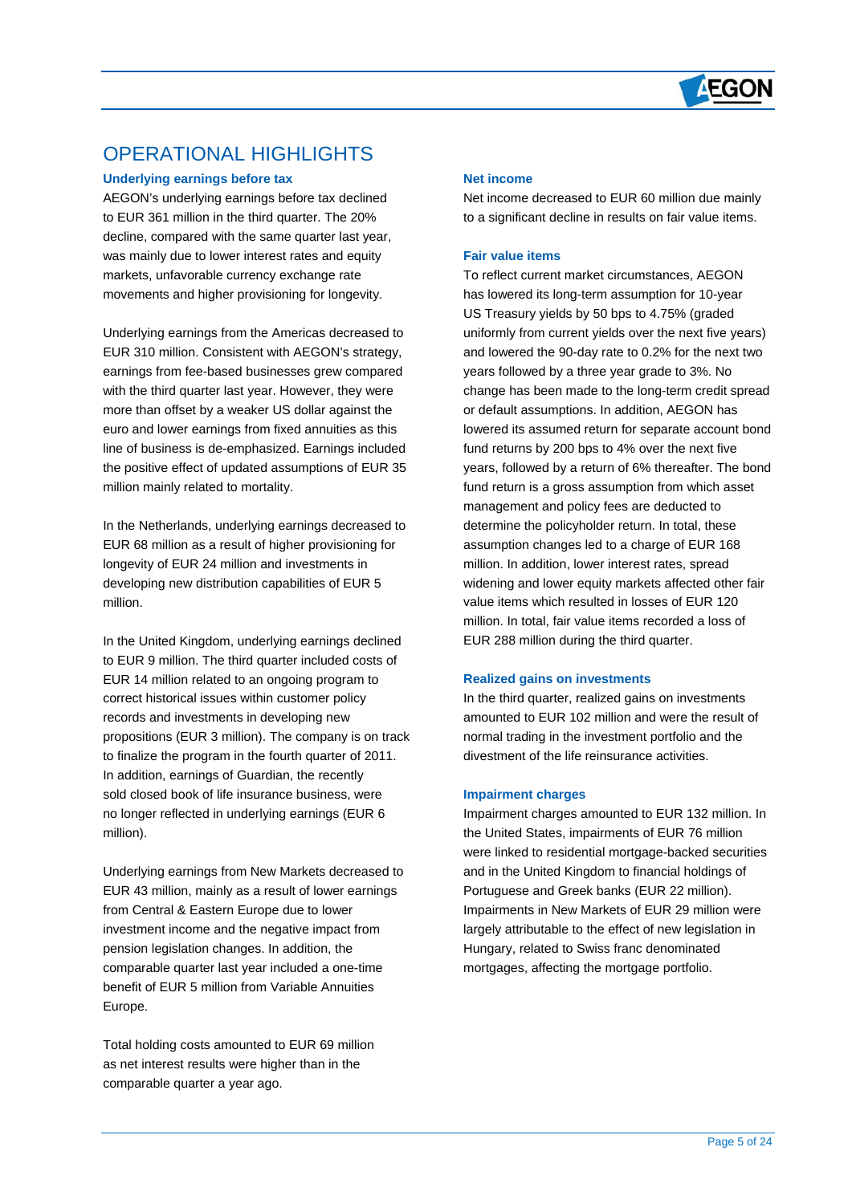

## OPERATIONAL HIGHLIGHTS

#### **Underlying earnings before tax**

 $\overline{a}$ 

AEGON's underlying earnings before tax declined to EUR 361 million in the third quarter. The 20% decline, compared with the same quarter last year, was mainly due to lower interest rates and equity markets, unfavorable currency exchange rate movements and higher provisioning for longevity.

Underlying earnings from the Americas decreased to EUR 310 million. Consistent with AEGON's strategy, earnings from fee-based businesses grew compared with the third quarter last year. However, they were more than offset by a weaker US dollar against the euro and lower earnings from fixed annuities as this line of business is de-emphasized. Earnings included the positive effect of updated assumptions of EUR 35 million mainly related to mortality.

In the Netherlands, underlying earnings decreased to EUR 68 million as a result of higher provisioning for longevity of EUR 24 million and investments in developing new distribution capabilities of EUR 5 million.

In the United Kingdom, underlying earnings declined to EUR 9 million. The third quarter included costs of EUR 14 million related to an ongoing program to correct historical issues within customer policy records and investments in developing new propositions (EUR 3 million). The company is on track to finalize the program in the fourth quarter of 2011. In addition, earnings of Guardian, the recently sold closed book of life insurance business, were no longer reflected in underlying earnings (EUR 6 million).

Underlying earnings from New Markets decreased to EUR 43 million, mainly as a result of lower earnings from Central & Eastern Europe due to lower investment income and the negative impact from pension legislation changes. In addition, the comparable quarter last year included a one-time benefit of EUR 5 million from Variable Annuities Europe.

Total holding costs amounted to EUR 69 million as net interest results were higher than in the comparable quarter a year ago.

#### **Net income**

Net income decreased to EUR 60 million due mainly to a significant decline in results on fair value items.

#### **Fair value items**

To reflect current market circumstances, AEGON has lowered its long-term assumption for 10-year US Treasury yields by 50 bps to 4.75% (graded uniformly from current yields over the next five years) and lowered the 90-day rate to 0.2% for the next two years followed by a three year grade to 3%. No change has been made to the long-term credit spread or default assumptions. In addition, AEGON has lowered its assumed return for separate account bond fund returns by 200 bps to 4% over the next five years, followed by a return of 6% thereafter. The bond fund return is a gross assumption from which asset management and policy fees are deducted to determine the policyholder return. In total, these assumption changes led to a charge of EUR 168 million. In addition, lower interest rates, spread widening and lower equity markets affected other fair value items which resulted in losses of EUR 120 million. In total, fair value items recorded a loss of EUR 288 million during the third quarter.

#### **Realized gains on investments**

In the third quarter, realized gains on investments amounted to EUR 102 million and were the result of normal trading in the investment portfolio and the divestment of the life reinsurance activities.

#### **Impairment charges**

Impairment charges amounted to EUR 132 million. In the United States, impairments of EUR 76 million were linked to residential mortgage-backed securities and in the United Kingdom to financial holdings of Portuguese and Greek banks (EUR 22 million). Impairments in New Markets of EUR 29 million were largely attributable to the effect of new legislation in Hungary, related to Swiss franc denominated mortgages, affecting the mortgage portfolio.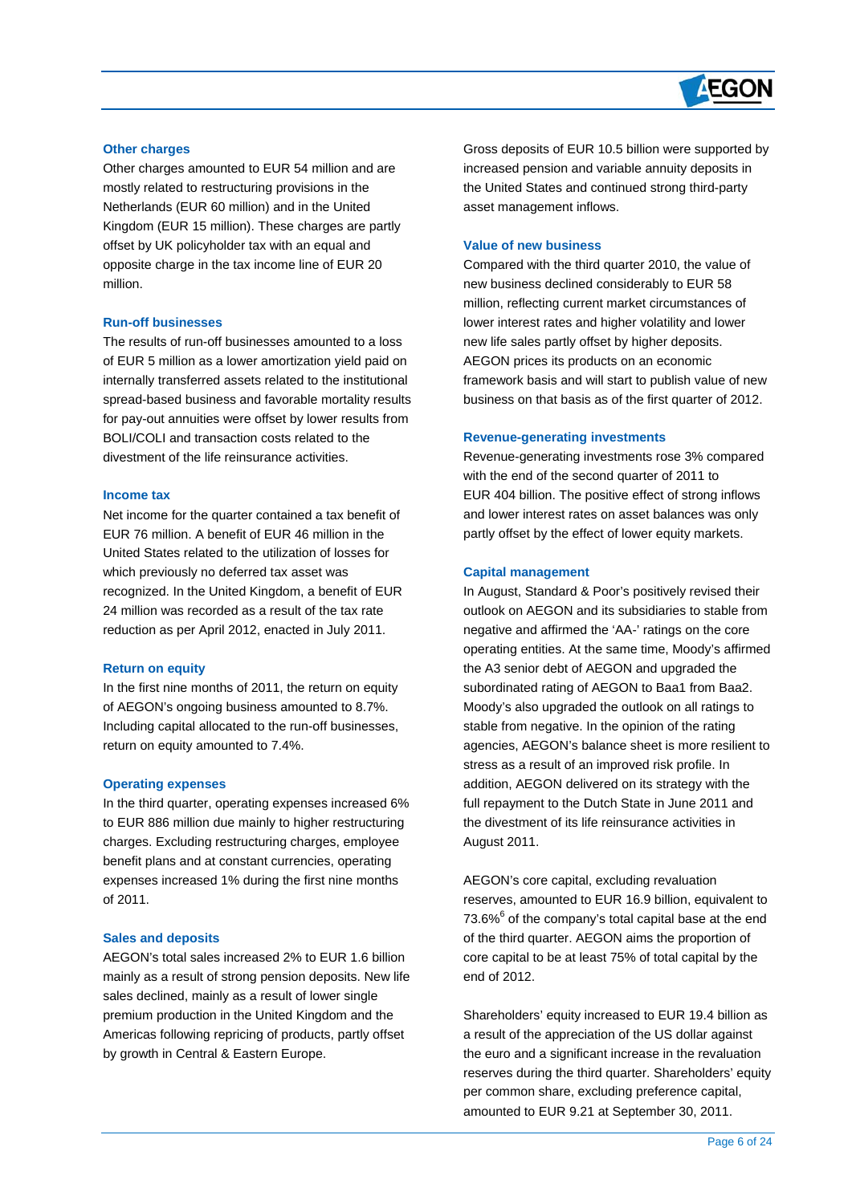## **AEGON**

#### **Other charges**

 $\overline{a}$ 

Other charges amounted to EUR 54 million and are mostly related to restructuring provisions in the Netherlands (EUR 60 million) and in the United Kingdom (EUR 15 million). These charges are partly offset by UK policyholder tax with an equal and opposite charge in the tax income line of EUR 20 million.

#### **Run-off businesses**

The results of run-off businesses amounted to a loss of EUR 5 million as a lower amortization yield paid on internally transferred assets related to the institutional spread-based business and favorable mortality results for pay-out annuities were offset by lower results from BOLI/COLI and transaction costs related to the divestment of the life reinsurance activities.

#### **Income tax**

Net income for the quarter contained a tax benefit of EUR 76 million. A benefit of EUR 46 million in the United States related to the utilization of losses for which previously no deferred tax asset was recognized. In the United Kingdom, a benefit of EUR 24 million was recorded as a result of the tax rate reduction as per April 2012, enacted in July 2011.

#### **Return on equity**

In the first nine months of 2011, the return on equity of AEGON's ongoing business amounted to 8.7%. Including capital allocated to the run-off businesses, return on equity amounted to 7.4%.

#### **Operating expenses**

In the third quarter, operating expenses increased 6% to EUR 886 million due mainly to higher restructuring charges. Excluding restructuring charges, employee benefit plans and at constant currencies, operating expenses increased 1% during the first nine months of 2011.

#### **Sales and deposits**

AEGON's total sales increased 2% to EUR 1.6 billion mainly as a result of strong pension deposits. New life sales declined, mainly as a result of lower single premium production in the United Kingdom and the Americas following repricing of products, partly offset by growth in Central & Eastern Europe.

Gross deposits of EUR 10.5 billion were supported by increased pension and variable annuity deposits in the United States and continued strong third-party asset management inflows.

#### **Value of new business**

Compared with the third quarter 2010, the value of new business declined considerably to EUR 58 million, reflecting current market circumstances of lower interest rates and higher volatility and lower new life sales partly offset by higher deposits. AEGON prices its products on an economic framework basis and will start to publish value of new business on that basis as of the first quarter of 2012.

#### **Revenue-generating investments**

Revenue-generating investments rose 3% compared with the end of the second quarter of 2011 to EUR 404 billion. The positive effect of strong inflows and lower interest rates on asset balances was only partly offset by the effect of lower equity markets.

#### **Capital management**

In August, Standard & Poor's positively revised their outlook on AEGON and its subsidiaries to stable from negative and affirmed the 'AA-' ratings on the core operating entities. At the same time, Moody's affirmed the A3 senior debt of AEGON and upgraded the subordinated rating of AEGON to Baa1 from Baa2. Moody's also upgraded the outlook on all ratings to stable from negative. In the opinion of the rating agencies, AEGON's balance sheet is more resilient to stress as a result of an improved risk profile. In addition, AEGON delivered on its strategy with the full repayment to the Dutch State in June 2011 and the divestment of its life reinsurance activities in August 2011.

AEGON's core capital, excluding revaluation reserves, amounted to EUR 16.9 billion, equivalent to  $73.6\%$ <sup>6</sup> of the company's total capital base at the end of the third quarter. AEGON aims the proportion of core capital to be at least 75% of total capital by the end of 2012.

Shareholders' equity increased to EUR 19.4 billion as a result of the appreciation of the US dollar against the euro and a significant increase in the revaluation reserves during the third quarter. Shareholders' equity per common share, excluding preference capital, amounted to EUR 9.21 at September 30, 2011.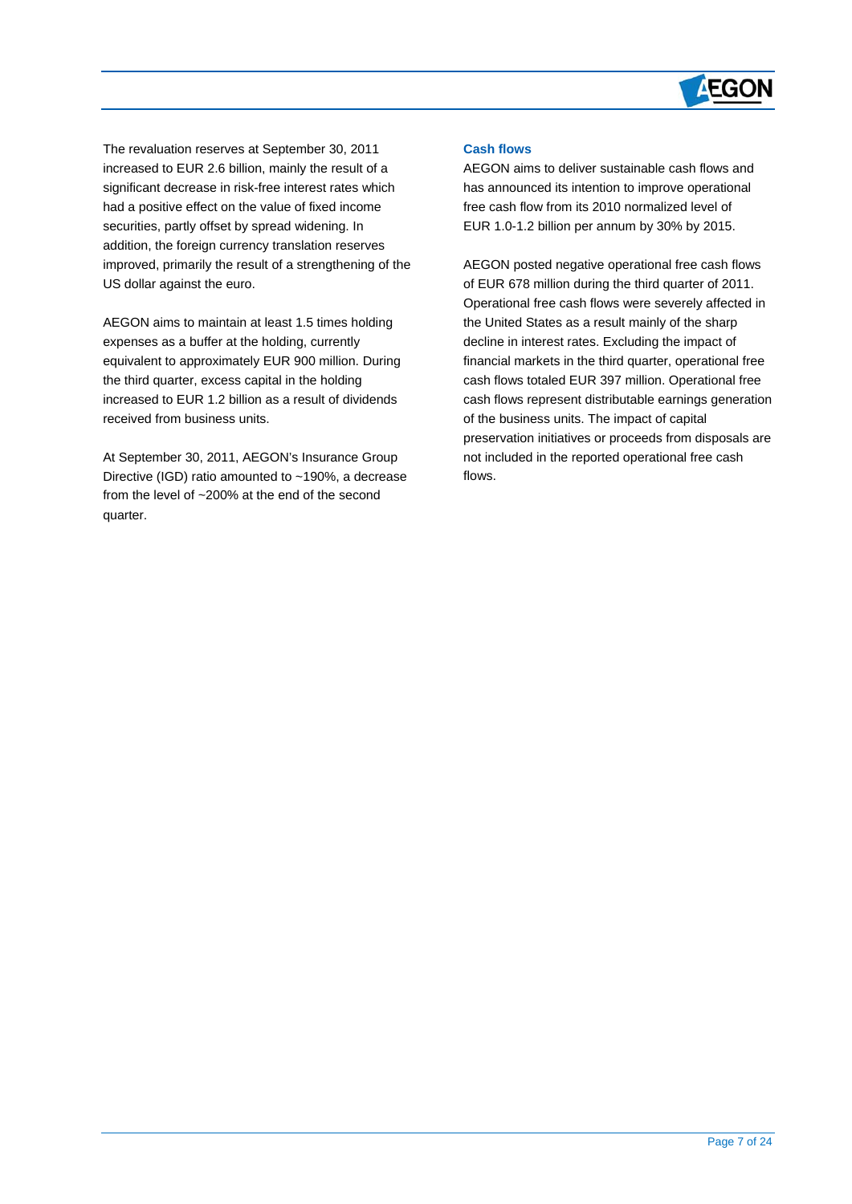

The revaluation reserves at September 30, 2011 increased to EUR 2.6 billion, mainly the result of a significant decrease in risk-free interest rates which had a positive effect on the value of fixed income securities, partly offset by spread widening. In addition, the foreign currency translation reserves improved, primarily the result of a strengthening of the US dollar against the euro.

 $\overline{a}$ 

AEGON aims to maintain at least 1.5 times holding expenses as a buffer at the holding, currently equivalent to approximately EUR 900 million. During the third quarter, excess capital in the holding increased to EUR 1.2 billion as a result of dividends received from business units.

At September 30, 2011, AEGON's Insurance Group Directive (IGD) ratio amounted to ~190%, a decrease from the level of ~200% at the end of the second quarter.

#### **Cash flows**

AEGON aims to deliver sustainable cash flows and has announced its intention to improve operational free cash flow from its 2010 normalized level of EUR 1.0-1.2 billion per annum by 30% by 2015.

AEGON posted negative operational free cash flows of EUR 678 million during the third quarter of 2011. Operational free cash flows were severely affected in the United States as a result mainly of the sharp decline in interest rates. Excluding the impact of financial markets in the third quarter, operational free cash flows totaled EUR 397 million. Operational free cash flows represent distributable earnings generation of the business units. The impact of capital preservation initiatives or proceeds from disposals are not included in the reported operational free cash flows.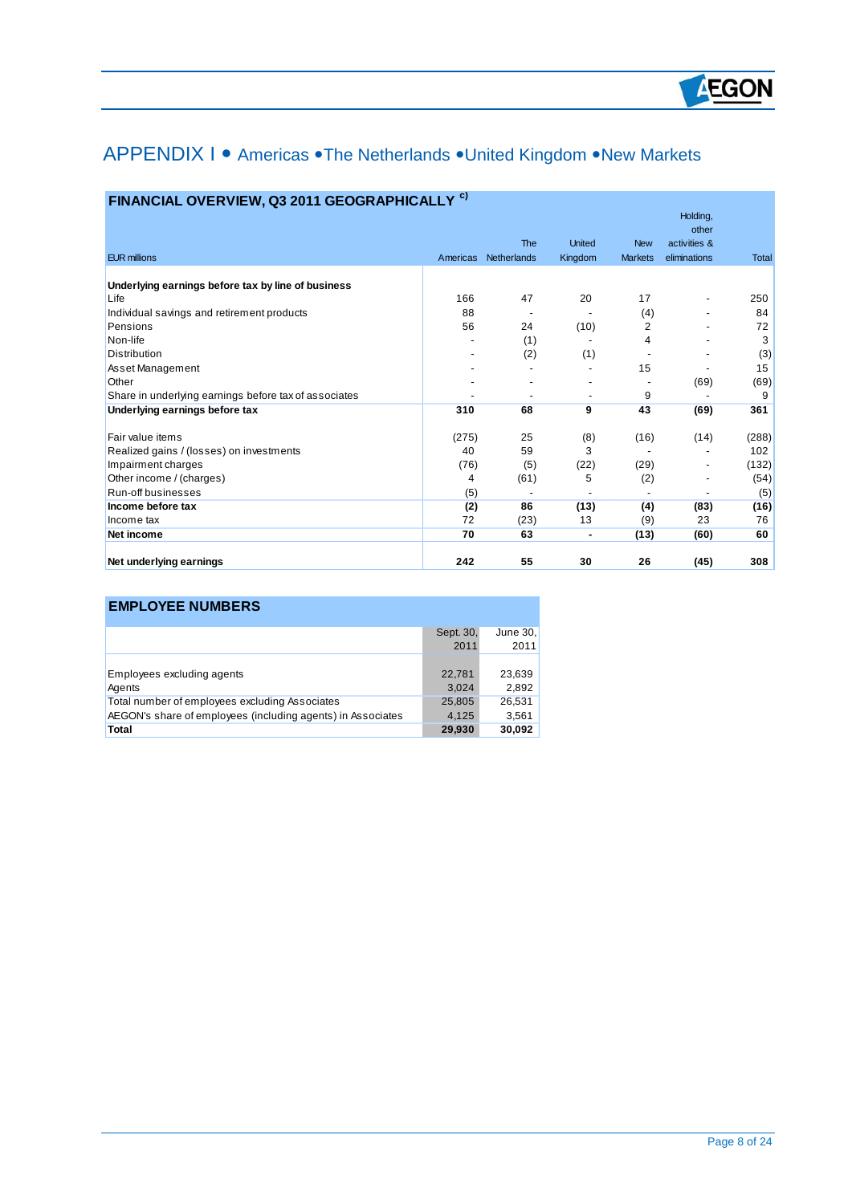## APPENDIX I • Americas • The Netherlands • United Kingdom • New Markets

| FINANCIAL OVERVIEW, Q3 2011 GEOGRAPHICALLY <sup>c)</sup> |  |  |  |  |  |
|----------------------------------------------------------|--|--|--|--|--|
|----------------------------------------------------------|--|--|--|--|--|

|                                                       |          |             |               |                | Holding,                     |       |
|-------------------------------------------------------|----------|-------------|---------------|----------------|------------------------------|-------|
|                                                       |          | <b>The</b>  | <b>United</b> | <b>New</b>     | other<br>activities &        |       |
| <b>EUR millions</b>                                   | Americas | Netherlands | Kingdom       | <b>Markets</b> | eliminations                 | Total |
|                                                       |          |             |               |                |                              |       |
| Underlying earnings before tax by line of business    |          |             |               |                |                              |       |
| Life                                                  | 166      | 47          | 20            | 17             | -                            | 250   |
| Individual savings and retirement products            | 88       |             |               | (4)            | -                            | 84    |
| Pensions                                              | 56       | 24          | (10)          | 2              |                              | 72    |
| Non-life                                              |          | (1)         |               | 4              |                              | 3     |
| Distribution                                          |          | (2)         | (1)           |                |                              | (3)   |
| Asset Management                                      |          |             |               | 15             |                              | 15    |
| Other                                                 |          |             |               |                | (69)                         | (69)  |
| Share in underlying earnings before tax of associates |          |             | ٠             | 9              |                              | 9     |
| Underlying earnings before tax                        | 310      | 68          | 9             | 43             | (69)                         | 361   |
| Fair value items                                      | (275)    | 25          | (8)           | (16)           | (14)                         | (288) |
| Realized gains / (losses) on investments              | 40       | 59          | 3             |                |                              | 102   |
| Impairment charges                                    | (76)     | (5)         | (22)          | (29)           | $\qquad \qquad \blacksquare$ | (132) |
| Other income / (charges)                              | 4        | (61)        | 5             | (2)            |                              | (54)  |
| Run-off businesses                                    | (5)      |             |               |                |                              | (5)   |
| Income before tax                                     | (2)      | 86          | (13)          | (4)            | (83)                         | (16)  |
| Income tax                                            | 72       | (23)        | 13            | (9)            | 23                           | 76    |
| Net income                                            | 70       | 63          | ٠             | (13)           | (60)                         | 60    |
| Net underlying earnings                               | 242      | 55          | 30            | 26             | (45)                         | 308   |

## **EMPLOYEE NUMBERS**

 $\overline{a}$ 

|                                                             | Sept. 30, | June 30, |
|-------------------------------------------------------------|-----------|----------|
|                                                             | 2011      | 2011     |
|                                                             |           |          |
| Employees excluding agents                                  | 22,781    | 23,639   |
| Agents                                                      | 3,024     | 2.892    |
| Total number of employees excluding Associates              | 25,805    | 26.531   |
| AEGON's share of employees (including agents) in Associates | 4.125     | 3,561    |
| Total                                                       | 29,930    | 30,092   |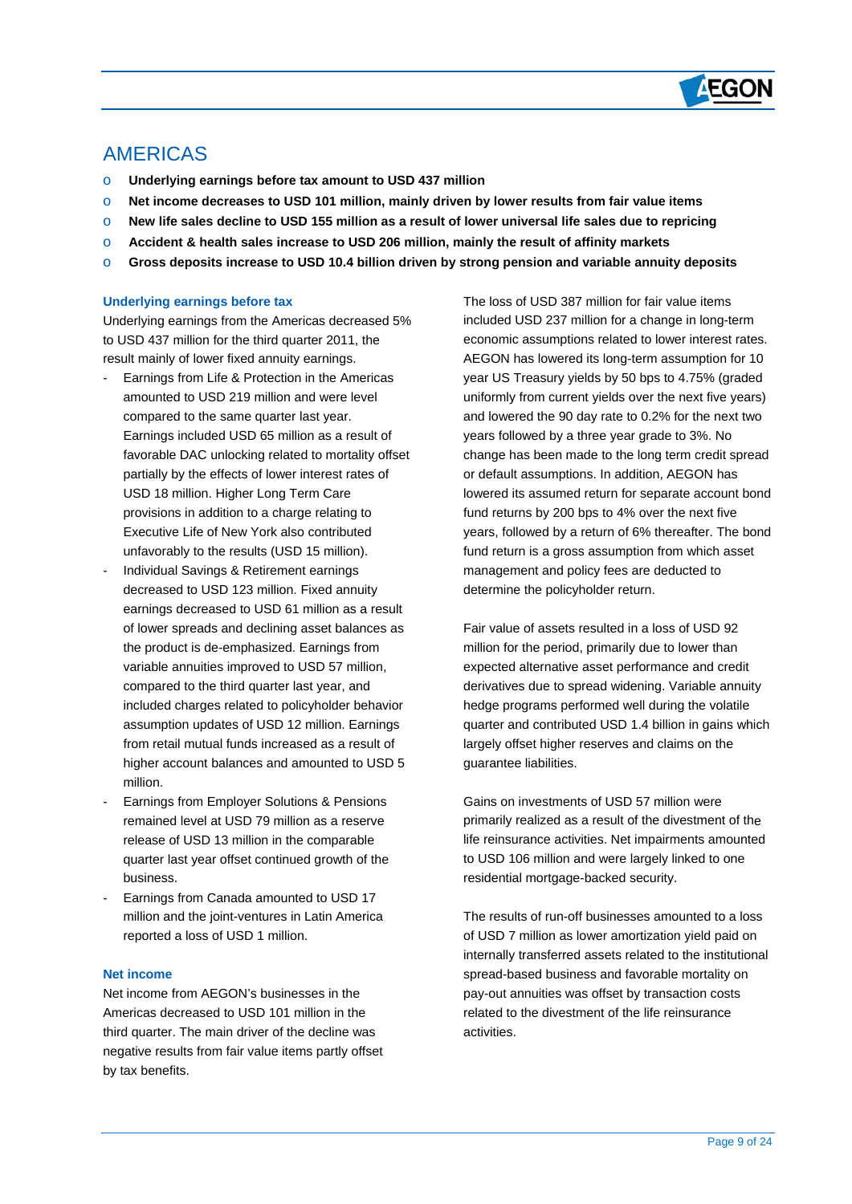

## AMERICAS

 $\overline{a}$ 

- o **Underlying earnings before tax amount to USD 437 million**
- o **Net income decreases to USD 101 million, mainly driven by lower results from fair value items**
- o **New life sales decline to USD 155 million as a result of lower universal life sales due to repricing**
- o **Accident & health sales increase to USD 206 million, mainly the result of affinity markets**
- o **Gross deposits increase to USD 10.4 billion driven by strong pension and variable annuity deposits**

#### **Underlying earnings before tax**

Underlying earnings from the Americas decreased 5% to USD 437 million for the third quarter 2011, the result mainly of lower fixed annuity earnings.

- Earnings from Life & Protection in the Americas amounted to USD 219 million and were level compared to the same quarter last year. Earnings included USD 65 million as a result of favorable DAC unlocking related to mortality offset partially by the effects of lower interest rates of USD 18 million. Higher Long Term Care provisions in addition to a charge relating to Executive Life of New York also contributed unfavorably to the results (USD 15 million).
- Individual Savings & Retirement earnings decreased to USD 123 million. Fixed annuity earnings decreased to USD 61 million as a result of lower spreads and declining asset balances as the product is de-emphasized. Earnings from variable annuities improved to USD 57 million, compared to the third quarter last year, and included charges related to policyholder behavior assumption updates of USD 12 million. Earnings from retail mutual funds increased as a result of higher account balances and amounted to USD 5 million.
- Earnings from Employer Solutions & Pensions remained level at USD 79 million as a reserve release of USD 13 million in the comparable quarter last year offset continued growth of the business.
- Earnings from Canada amounted to USD 17 million and the joint-ventures in Latin America reported a loss of USD 1 million.

#### **Net income**

Net income from AEGON's businesses in the Americas decreased to USD 101 million in the third quarter. The main driver of the decline was negative results from fair value items partly offset by tax benefits.

The loss of USD 387 million for fair value items included USD 237 million for a change in long-term economic assumptions related to lower interest rates. AEGON has lowered its long-term assumption for 10 year US Treasury yields by 50 bps to 4.75% (graded uniformly from current yields over the next five years) and lowered the 90 day rate to 0.2% for the next two years followed by a three year grade to 3%. No change has been made to the long term credit spread or default assumptions. In addition, AEGON has lowered its assumed return for separate account bond fund returns by 200 bps to 4% over the next five years, followed by a return of 6% thereafter. The bond fund return is a gross assumption from which asset management and policy fees are deducted to determine the policyholder return.

hedge programs performed well during the volatile quarter and contributed USD 1.4 billion in gains which largely offset higher reserves and claims on the Fair value of assets resulted in a loss of USD 92 million for the period, primarily due to lower than expected alternative asset performance and credit derivatives due to spread widening. Variable annuity guarantee liabilities.

primarily realized as a result of the divestment of the life reinsurance activities. Net impairments amounted to USD 106 million and were largely linked to one Gains on investments of USD 57 million were residential mortgage-backed security.

internally transferred assets related to the institutional spread-based business and favorable mortality on pay-out annuities was offset by transaction costs related to the divestment of the life reinsurance activities. The results of run-off businesses amounted to a loss of USD 7 million as lower amortization yield paid on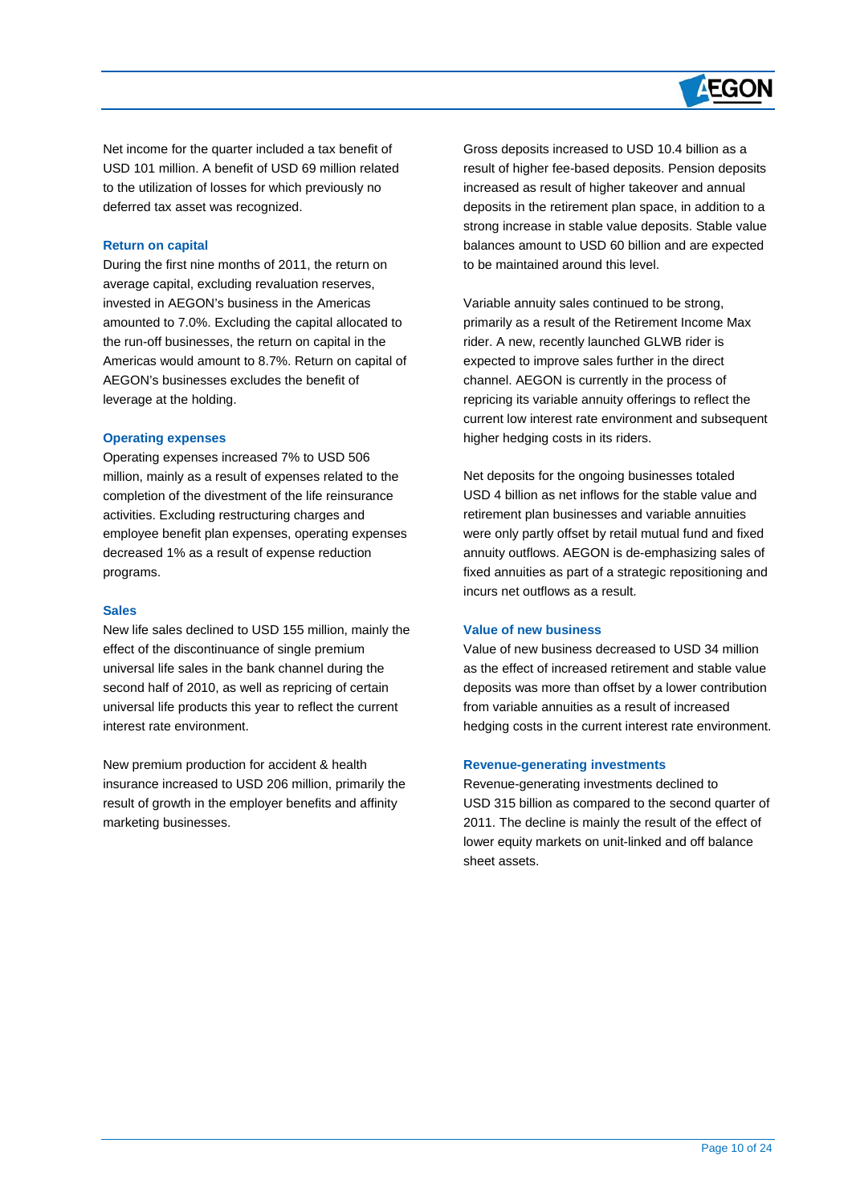# **AEGON**

Net income for the quarter included a tax benefit of USD 101 million. A benefit of USD 69 million related to the utilization of losses for which previously no deferred tax asset was recognized.

#### **Return on capital**

 $\overline{a}$ 

During the first nine months of 2011, the return on average capital, excluding revaluation reserves, invested in AEGON's business in the Americas amounted to 7.0%. Excluding the capital allocated to the run-off businesses, the return on capital in the Americas would amount to 8.7%. Return on capital of AEGON's businesses excludes the benefit of leverage at the holding.

#### **Operating expenses**

Operating expenses increased 7% to USD 506 million, mainly as a result of expenses related to the completion of the divestment of the life reinsurance activities. Excluding restructuring charges and employee benefit plan expenses, operating expenses decreased 1% as a result of expense reduction programs.

#### **Sales**

New life sales declined to USD 155 million, mainly the effect of the discontinuance of single premium universal life sales in the bank channel during the second half of 2010, as well as repricing of certain universal life products this year to reflect the current interest rate environment.

New premium production for accident & health insurance increased to USD 206 million, primarily the result of growth in the employer benefits and affinity marketing businesses.

Gross deposits increased to USD 10.4 billion as a result of higher fee-based deposits. Pension deposits increased as result of higher takeover and annual deposits in the retirement plan space, in addition to a strong increase in stable value deposits. Stable value balances amount to USD 60 billion and are expected to be maintained around this level.

Variable annuity sales continued to be strong, primarily as a result of the Retirement Income Max rider. A new, recently launched GLWB rider is expected to improve sales further in the direct channel. AEGON is currently in the process of repricing its variable annuity offerings to reflect the current low interest rate environment and subsequent higher hedging costs in its riders.

Net deposits for the ongoing businesses totaled USD 4 billion as net inflows for the stable value and retirement plan businesses and variable annuities were only partly offset by retail mutual fund and fixed annuity outflows. AEGON is de-emphasizing sales of fixed annuities as part of a strategic repositioning and incurs net outflows as a result.

#### **Value of new business**

Value of new business decreased to USD 34 million as the effect of increased retirement and stable value deposits was more than offset by a lower contribution from variable annuities as a result of increased hedging costs in the current interest rate environment.

#### **Revenue-generating investments**

Revenue-generating investments declined to USD 315 billion as compared to the second quarter of 2011. The decline is mainly the result of the effect of lower equity markets on unit-linked and off balance sheet assets.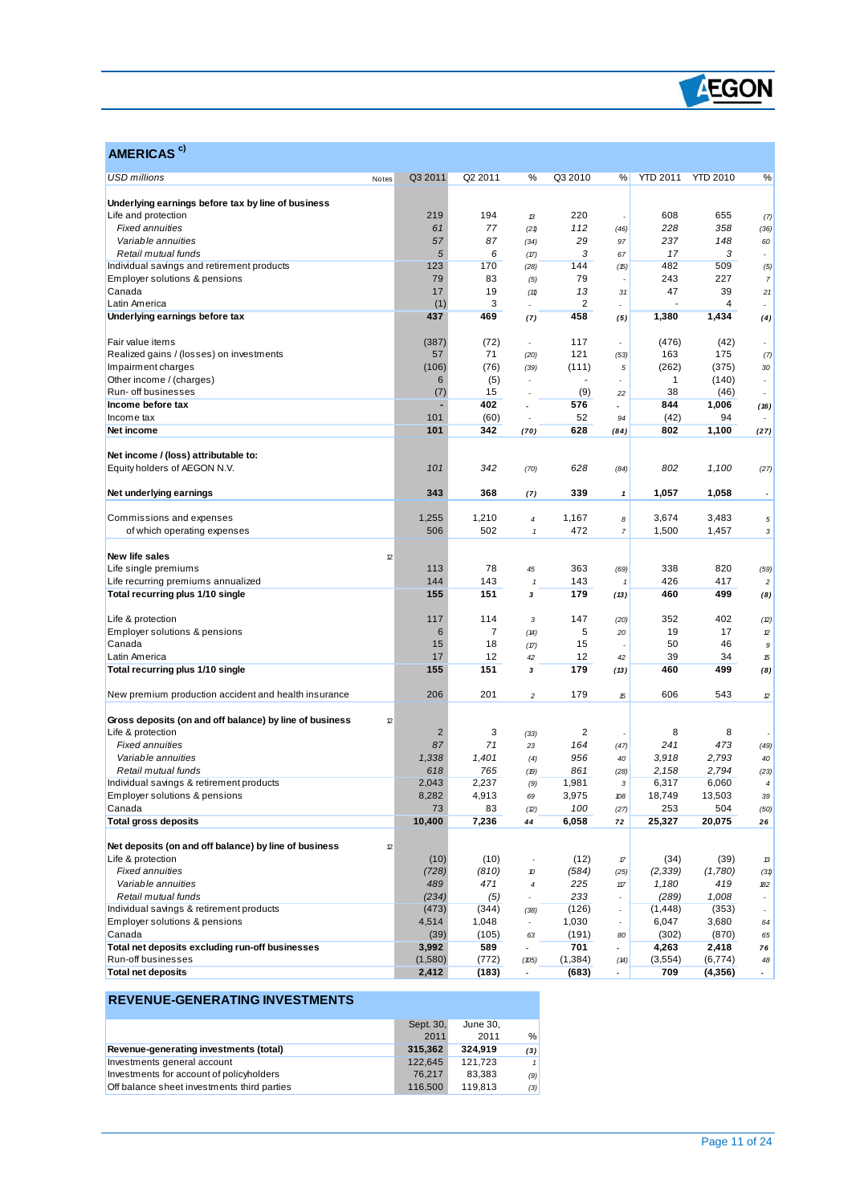

| AMERICAS <sup>c)</sup>                                               |                  |                |                          |                |                                   |                 |                 |                          |
|----------------------------------------------------------------------|------------------|----------------|--------------------------|----------------|-----------------------------------|-----------------|-----------------|--------------------------|
| <b>USD millions</b>                                                  | Q3 2011<br>Notes | Q2 2011        | %                        | Q3 2010        | %                                 | <b>YTD 2011</b> | <b>YTD 2010</b> | %                        |
| Underlying earnings before tax by line of business                   |                  |                |                          |                |                                   |                 |                 |                          |
| Life and protection                                                  | 219              | 194            | 13                       | 220            |                                   | 608             | 655             | (7)                      |
| <b>Fixed annuities</b>                                               | 61               | 77             | (21)                     | 112            | (46)                              | 228             | 358             | (36)                     |
| Variable annuities                                                   | 57               | 87             | (34)                     | 29             | 97                                | 237             | 148             | 60                       |
| Retail mutual funds                                                  | 5                | 6              | (17)                     | 3              | 67                                | 17              | 3               | $\overline{a}$           |
| Individual savings and retirement products                           | 123              | 170            | (28)                     | 144            | (15)                              | 482             | 509             | (5)                      |
| Employer solutions & pensions                                        | 79               | 83             | (5)                      | 79             |                                   | 243             | 227             | $\overline{7}$           |
| Canada                                                               | 17               | 19             | (11)                     | 13             | 31                                | 47              | 39              | 21                       |
| Latin America                                                        | (1)              | 3              |                          | $\overline{2}$ | $\overline{a}$                    |                 | 4               | $\overline{a}$           |
| Underlying earnings before tax                                       | 437              | 469            | (7)                      | 458            | (5)                               | 1,380           | 1,434           | (4)                      |
| Fair value items                                                     | (387)            | (72)           | ÷,                       | 117            |                                   | (476)           | (42)            | $\overline{a}$           |
| Realized gains / (losses) on investments                             | 57               | 71             | (20)                     | 121            | (53)                              | 163             | 175             | (7)                      |
| Impairment charges                                                   | (106)            | (76)           | (39)                     | (111)          | 5                                 | (262)           | (375)           | 30                       |
| Other income / (charges)                                             | 6                | (5)            |                          |                |                                   | $\mathbf{1}$    | (140)           | $\overline{\phantom{a}}$ |
| Run- off businesses                                                  | (7)              | 15             | $\overline{\phantom{a}}$ | (9)            | 22                                | 38              | (46)            | $\overline{\phantom{a}}$ |
| Income before tax                                                    |                  | 402            |                          | 576            | $\overline{\phantom{a}}$          | 844             | 1,006           | (16)                     |
| Income tax                                                           | 101              | (60)           |                          | 52             | 94                                | (42)            | 94              |                          |
| Net income                                                           | 101              | 342            | (70)                     | 628            | (84)                              | 802             | 1,100           | (27)                     |
|                                                                      |                  |                |                          |                |                                   |                 |                 |                          |
| Net income / (loss) attributable to:<br>Equity holders of AEGON N.V. | 101              | 342            | (70)                     | 628            | (84)                              | 802             | 1,100           | (27)                     |
|                                                                      |                  |                |                          |                |                                   |                 |                 |                          |
| Net underlying earnings                                              | 343              | 368            | (7)                      | 339            | $\mathbf{1}$                      | 1,057           | 1,058           |                          |
| Commissions and expenses                                             | 1,255            | 1,210          | 4                        | 1,167          | 8                                 | 3,674           | 3,483           | $\sqrt{5}$               |
| of which operating expenses                                          | 506              | 502            | $\mathbf{1}$             | 472            | $\boldsymbol{7}$                  | 1,500           | 1,457           | 3                        |
|                                                                      |                  |                |                          |                |                                   |                 |                 |                          |
| New life sales                                                       | 12               |                |                          |                |                                   |                 |                 |                          |
| Life single premiums                                                 | 113              | 78             | 45                       | 363            |                                   | 338             | 820             |                          |
|                                                                      | 144              | 143            | $\mathbf{1}$             | 143            | (69)                              | 426             | 417             | (59)                     |
| Life recurring premiums annualized                                   | 155              |                |                          |                |                                   |                 | 499             | $\overline{c}$           |
| Total recurring plus 1/10 single                                     |                  | 151            | 3                        | 179            | (13)                              | 460             |                 | (8)                      |
| Life & protection                                                    | 117              | 114            | 3                        | 147            | (20)                              | 352             | 402             | (2)                      |
| Employer solutions & pensions                                        | 6                | $\overline{7}$ | (14)                     | 5              | 20                                | 19              | 17              | 12                       |
| Canada                                                               | 15               | 18             | (17)                     | 15             |                                   | 50              | 46              | $\boldsymbol{9}$         |
| Latin America                                                        | 17               | 12             | 42                       | 12             | 42                                | 39              | 34              | 15                       |
| Total recurring plus 1/10 single                                     | 155              | 151            | 3                        | 179            | (13)                              | 460             | 499             | (8)                      |
| New premium production accident and health insurance                 | 206              | 201            | $\overline{c}$           | 179            | 15                                | 606             | 543             | 12                       |
|                                                                      |                  |                |                          |                |                                   |                 |                 |                          |
| Gross deposits (on and off balance) by line of business              | 12               |                |                          |                |                                   |                 |                 |                          |
| Life & protection                                                    | $\overline{2}$   | 3              | (33)                     | 2              |                                   | 8               | 8               |                          |
| <b>Fixed annuities</b>                                               | 87               | 71             | 23                       | 164            | (47)                              | 241             | 473             | (49)                     |
| Variable annuities                                                   | 1,338            | 1,401          | (4)                      | 956            | 40                                | 3,918           | 2,793           | 40                       |
| Retail mutual funds                                                  | 618              | 765            | (19)                     | 861            | (28)                              | 2.158           | 2,794           | (23)                     |
| Individual savings & retirement products                             | 2,043            | 2,237          | (9)                      | 1,981          | 3                                 | 6,317           | 6,060           | 4                        |
| Employer solutions & pensions                                        | 8,282            | 4,913          | 69                       | 3,975          | 108                               | 18,749          | 13,503          | 39                       |
| Canada                                                               | 73               | 83             | (2)                      | 100            | (27)                              | 253             | 504             | (50)                     |
| <b>Total gross deposits</b>                                          | 10,400           | 7,236          | 44                       | 6,058          | 72                                | 25,327          | 20,075          | 26                       |
| Net deposits (on and off balance) by line of business                | $12\,$           |                |                          |                |                                   |                 |                 |                          |
| Life & protection                                                    | (10)             | (10)           | $\overline{\phantom{a}}$ | (12)           | $\ensuremath{\mathcal{T}}\xspace$ | (34)            | (39)            | 13                       |
| <b>Fixed annuities</b>                                               | (728)            | (810)          | 10                       | (584)          | (25)                              | (2, 339)        | (1,780)         | (31)                     |
| Variable annuities                                                   | 489              | 471            | 4                        | 225            | $117$                             | 1,180           | 419             | 182                      |
| Retail mutual funds                                                  | (234)            | (5)            | ÷,                       | 233            |                                   | (289)           | 1,008           | $\overline{\phantom{a}}$ |
| Individual savings & retirement products                             | (473)            | (344)          | (38)                     | (126)          |                                   | (1, 448)        | (353)           | $\overline{\phantom{a}}$ |
| Employer solutions & pensions                                        | 4,514            | 1,048          | $\overline{\phantom{a}}$ | 1,030          | $\overline{\phantom{a}}$          | 6,047           | 3,680           | 64                       |
| Canada                                                               | (39)             | (105)          | 63                       | (191)          | 80                                | (302)           | (870)           | 65                       |
| Total net deposits excluding run-off businesses                      | 3,992            | 589            | $\overline{a}$           | 701            |                                   | 4,263           | 2,418           | 76                       |
| Run-off businesses                                                   | (1,580)          | (772)          | (105)                    | (1, 384)       | (14)                              | (3, 554)        | (6, 774)        | 48                       |
| <b>Total net deposits</b>                                            | 2,412            | (183)          | $\overline{\phantom{a}}$ | (683)          |                                   | 709             | (4,356)         | $\sim$                   |

#### **REVENUE-GENERATING INVESTMENTS**

 $\overline{a}$ 

|                                             | Sept. 30, | June 30. |     |
|---------------------------------------------|-----------|----------|-----|
|                                             | 2011      | 2011     | %   |
| Revenue-generating investments (total)      | 315.362   | 324.919  | (3) |
| Investments general account                 | 122.645   | 121.723  |     |
| Investments for account of policyholders    | 76.217    | 83.383   | (9) |
| Off balance sheet investments third parties | 116,500   | 119.813  | (3) |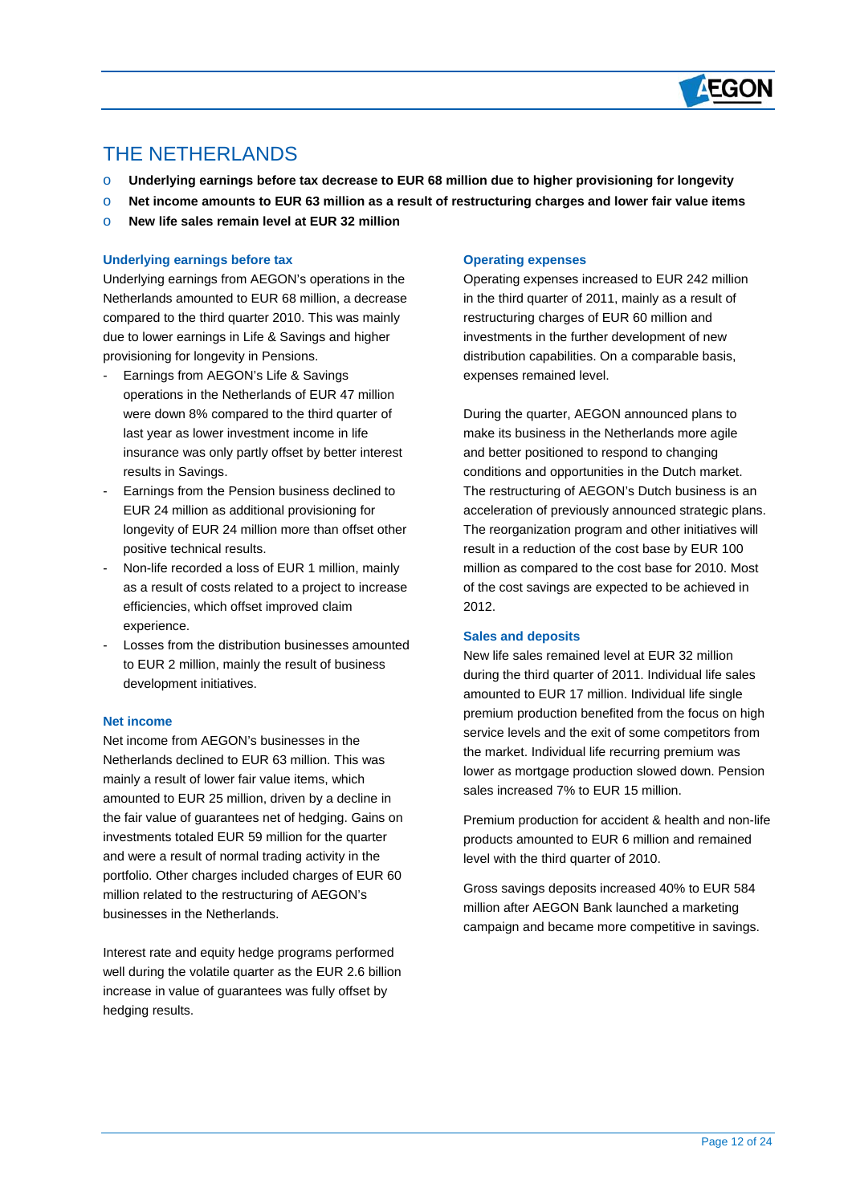

## THE NETHERLANDS

 $\overline{a}$ 

- o **Underlying earnings before tax decrease to EUR 68 million due to higher provisioning for longevity**
- o **Net income amounts to EUR 63 million as a result of restructuring charges and lower fair value items**
- o **New life sales remain level at EUR 32 million**

#### **Underlying earnings before tax**

Underlying earnings from AEGON's operations in the Netherlands amounted to EUR 68 million, a decrease compared to the third quarter 2010. This was mainly due to lower earnings in Life & Savings and higher provisioning for longevity in Pensions.

- Earnings from AEGON's Life & Savings operations in the Netherlands of EUR 47 million were down 8% compared to the third quarter of last year as lower investment income in life insurance was only partly offset by better interest results in Savings.
- Earnings from the Pension business declined to EUR 24 million as additional provisioning for longevity of EUR 24 million more than offset other positive technical results.
- Non-life recorded a loss of EUR 1 million, mainly as a result of costs related to a project to increase efficiencies, which offset improved claim experience.
- Losses from the distribution businesses amounted to EUR 2 million, mainly the result of business development initiatives.

#### **Net income**

Net income from AEGON's businesses in the Netherlands declined to EUR 63 million. This was mainly a result of lower fair value items, which amounted to EUR 25 million, driven by a decline in the fair value of guarantees net of hedging. Gains on investments totaled EUR 59 million for the quarter and were a result of normal trading activity in the portfolio. Other charges included charges of EUR 60 million related to the restructuring of AEGON's businesses in the Netherlands.

Interest rate and equity hedge programs performed well during the volatile quarter as the EUR 2.6 billion increase in value of guarantees was fully offset by hedging results.

#### **Operating expenses**

Operating expenses increased to EUR 242 million in the third quarter of 2011, mainly as a result of restructuring charges of EUR 60 million and investments in the further development of new distribution capabilities. On a comparable basis, expenses remained level.

During the quarter, AEGON announced plans to make its business in the Netherlands more agile and better positioned to respond to changing conditions and opportunities in the Dutch market. The restructuring of AEGON's Dutch business is an acceleration of previously announced strategic plans. The reorganization program and other initiatives will result in a reduction of the cost base by EUR 100 million as compared to the cost base for 2010. Most of the cost savings are expected to be achieved in 2012.

#### **Sales and deposits**

New life sales remained level at EUR 32 million during the third quarter of 2011. Individual life sales amounted to EUR 17 million. Individual life single premium production benefited from the focus on high service levels and the exit of some competitors from the market. Individual life recurring premium was lower as mortgage production slowed down. Pension sales increased 7% to EUR 15 million.

Premium production for accident & health and non-life products amounted to EUR 6 million and remained level with the third quarter of 2010.

Gross savings deposits increased 40% to EUR 584 million after AEGON Bank launched a marketing campaign and became more competitive in savings.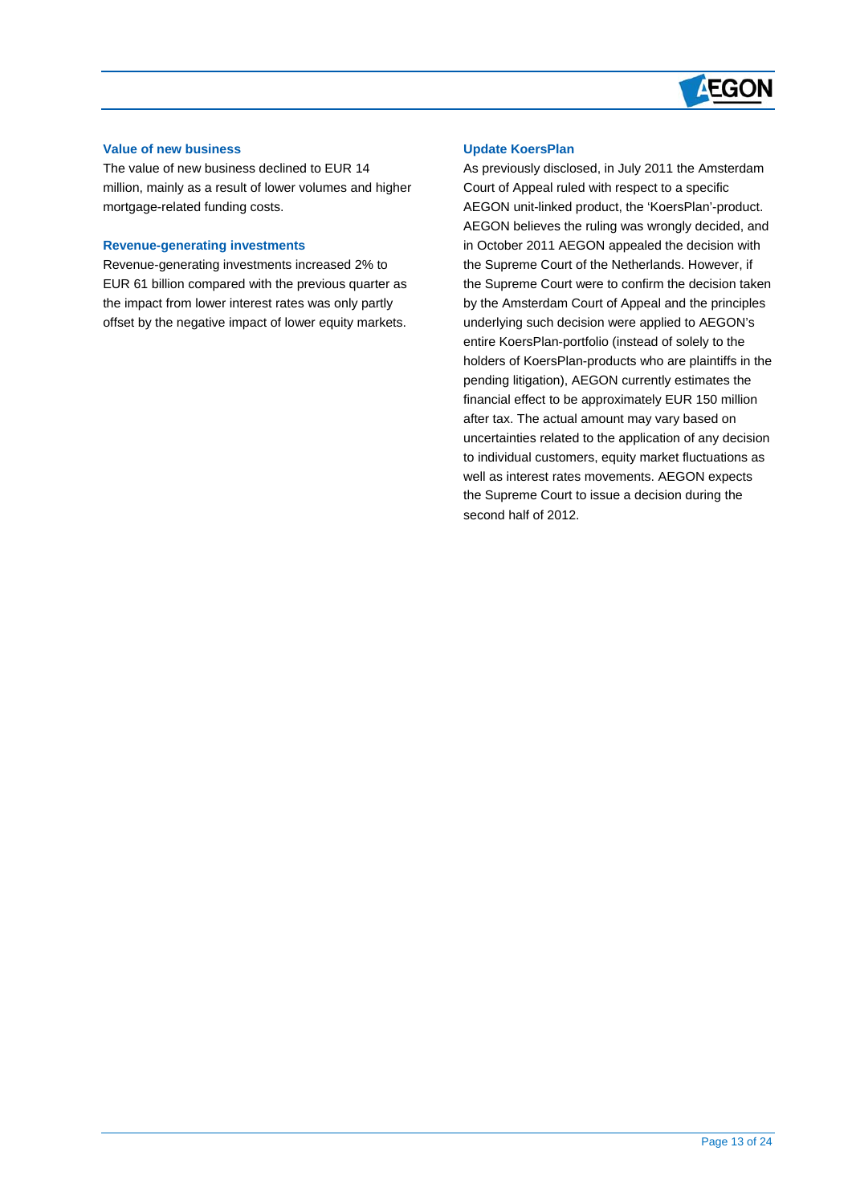

#### **Value of new business**

 $\overline{a}$ 

The value of new business declined to EUR 14 million, mainly as a result of lower volumes and higher mortgage-related funding costs.

#### **Revenue-generating investments**

Revenue-generating investments increased 2% to EUR 61 billion compared with the previous quarter as the impact from lower interest rates was only partly offset by the negative impact of lower equity markets.

#### **Update KoersPlan**

As previously disclosed, in July 2011 the Amsterdam Court of Appeal ruled with respect to a specific AEGON unit-linked product, the 'KoersPlan'-product. AEGON believes the ruling was wrongly decided, and in October 2011 AEGON appealed the decision with the Supreme Court of the Netherlands. However, if the Supreme Court were to confirm the decision taken by the Amsterdam Court of Appeal and the principles underlying such decision were applied to AEGON's entire KoersPlan-portfolio (instead of solely to the holders of KoersPlan-products who are plaintiffs in the pending litigation), AEGON currently estimates the financial effect to be approximately EUR 150 million after tax. The actual amount may vary based on uncertainties related to the application of any decision to individual customers, equity market fluctuations as well as interest rates movements. AEGON expects the Supreme Court to issue a decision during the second half of 2012.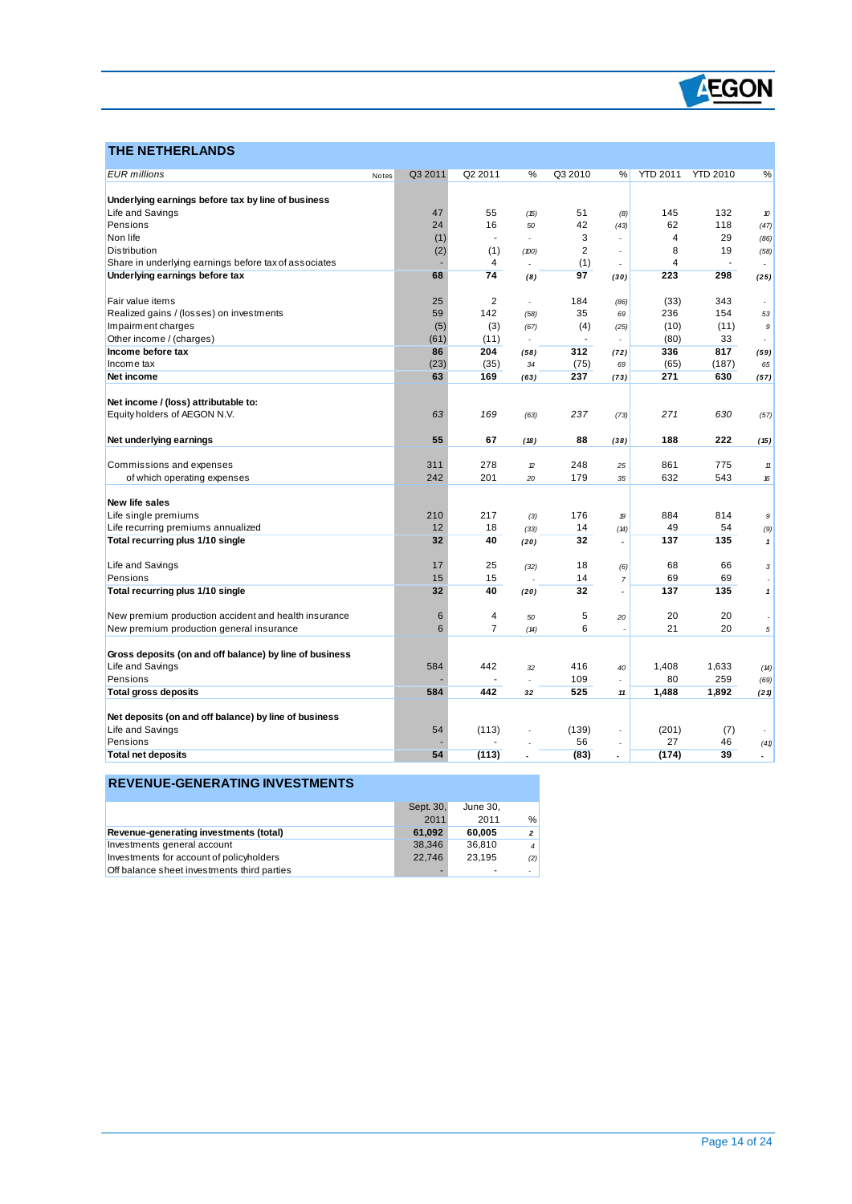

## **THE NETHERLANDS**

 $\overline{a}$ 

| <b>EUR</b> millions                                     | Notes | Q3 2011 | Q2 2011        | %              | Q3 2010                  | %              | <b>YTD 2011</b> | <b>YTD 2010</b> | ℅      |
|---------------------------------------------------------|-------|---------|----------------|----------------|--------------------------|----------------|-----------------|-----------------|--------|
|                                                         |       |         |                |                |                          |                |                 |                 |        |
| Underlying earnings before tax by line of business      |       |         |                |                |                          |                |                 |                 |        |
| Life and Savings                                        |       | 47      | 55             | (15)           | 51                       | (8)            | 145             | 132             | 10     |
| Pensions                                                |       | 24      | 16             | 50             | 42                       | (43)           | 62              | 118             | (47)   |
| Non life                                                |       | (1)     | $\overline{a}$ |                | 3                        |                | $\overline{4}$  | 29              | (86)   |
| <b>Distribution</b>                                     |       | (2)     | (1)            | (100)          | 2                        | $\overline{a}$ | 8               | 19              | (58)   |
| Share in underlying earnings before tax of associates   |       |         | 4              |                | (1)                      |                | $\overline{4}$  |                 |        |
| Underlying earnings before tax                          |       | 68      | 74             | (8)            | 97                       | (30)           | 223             | 298             | (25)   |
| Fair value items                                        |       | 25      | $\overline{2}$ | $\overline{a}$ | 184                      | (86)           | (33)            | 343             |        |
| Realized gains / (losses) on investments                |       | 59      | 142            | (58)           | 35                       | 69             | 236             | 154             | 53     |
| Impairment charges                                      |       | (5)     | (3)            | (67)           | (4)                      | (25)           | (10)            | (11)            | 9      |
| Other income / (charges)                                |       | (61)    | (11)           | $\overline{a}$ | $\overline{\phantom{a}}$ |                | (80)            | 33              |        |
| Income before tax                                       |       | 86      | 204            | (58)           | 312                      | (72)           | 336             | 817             | (59)   |
| Income tax                                              |       | (23)    | (35)           | 34             | (75)                     | 69             | (65)            | (187)           | 65     |
| Net income                                              |       | 63      | 169            | (63)           | 237                      | (73)           | 271             | 630             | (57)   |
|                                                         |       |         |                |                |                          |                |                 |                 |        |
| Net income / (loss) attributable to:                    |       |         |                |                |                          |                |                 |                 |        |
| Equity holders of AEGON N.V.                            |       | 63      | 169            | (63)           | 237                      | (73)           | 271             | 630             | (57)   |
| Net underlying earnings                                 |       | 55      | 67             | (18)           | 88                       | (38)           | 188             | 222             | (15)   |
|                                                         |       |         |                |                |                          |                |                 |                 |        |
| Commissions and expenses                                |       | 311     | 278            | $\mathcal{D}$  | 248                      | 25             | 861             | 775             | $11\,$ |
| of which operating expenses                             |       | 242     | 201            | 20             | 179                      | 35             | 632             | 543             | 16     |
| <b>New life sales</b>                                   |       |         |                |                |                          |                |                 |                 |        |
| Life single premiums                                    |       | 210     | 217            | (3)            | 176                      | 19             | 884             | 814             | 9      |
| Life recurring premiums annualized                      |       | 12      | 18             | (33)           | 14                       | (14)           | 49              | 54              | (9)    |
| Total recurring plus 1/10 single                        |       | 32      | 40             | (20)           | 32                       |                | 137             | 135             | 1      |
|                                                         |       |         |                |                |                          |                |                 |                 |        |
| Life and Savings                                        |       | 17      | 25             | (32)           | 18                       | (6)            | 68              | 66              | 3      |
| Pensions                                                |       | 15      | 15             |                | 14                       | $\overline{7}$ | 69              | 69              |        |
| Total recurring plus 1/10 single                        |       | 32      | 40             | (20)           | 32                       |                | 137             | 135             | 1      |
|                                                         |       |         |                |                |                          |                |                 |                 |        |
| New premium production accident and health insurance    |       | 6       | 4              | 50             | 5                        | 20             | 20              | 20              |        |
| New premium production general insurance                |       | 6       | $\overline{7}$ | (14)           | 6                        |                | 21              | 20              | 5      |
| Gross deposits (on and off balance) by line of business |       |         |                |                |                          |                |                 |                 |        |
| Life and Savings                                        |       | 584     | 442            | 32             | 416                      | 40             | 1,408           | 1,633           | (14)   |
| Pensions                                                |       |         |                |                | 109                      |                | 80              | 259             | (69)   |
| <b>Total gross deposits</b>                             |       | 584     | 442            | 32             | 525                      | 11             | 1,488           | 1,892           | (21)   |
|                                                         |       |         |                |                |                          |                |                 |                 |        |
| Net deposits (on and off balance) by line of business   |       |         |                |                |                          |                |                 |                 |        |
| Life and Savings                                        |       | 54      | (113)          |                | (139)                    |                | (201)           | (7)             |        |
| Pensions                                                |       |         |                |                | 56                       |                | 27              | 46              | (41)   |
| <b>Total net deposits</b>                               |       | 54      | (113)          |                | (83)                     |                | (174)           | 39              |        |

#### **REVENUE-GENERATING INVESTMENTS**

|                                             | Sept. 30, | June 30. |                |
|---------------------------------------------|-----------|----------|----------------|
|                                             | 2011      | 2011     | $\frac{0}{0}$  |
| Revenue-generating investments (total)      | 61.092    | 60.005   | $\overline{2}$ |
| Investments general account                 | 38.346    | 36.810   | $\overline{4}$ |
| Investments for account of policyholders    | 22.746    | 23.195   | (2)            |
| Off balance sheet investments third parties |           | ۰        |                |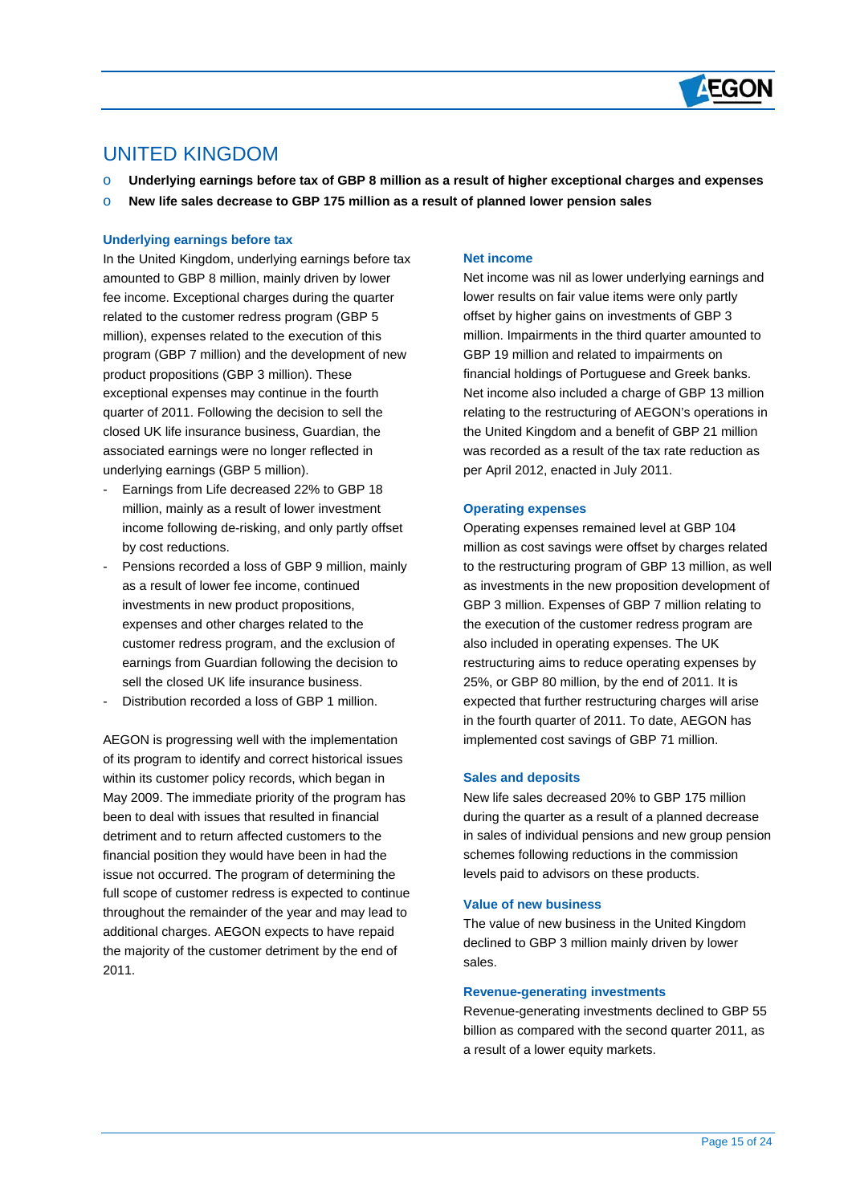

## UNITED KINGDOM

 $\overline{a}$ 

- o **Underlying earnings before tax of GBP 8 million as a result of higher exceptional charges and expenses**
- o **New life sales decrease to GBP 175 million as a result of planned lower pension sales**

#### **Underlying earnings before tax**

In the United Kingdom, underlying earnings before tax amounted to GBP 8 million, mainly driven by lower fee income. Exceptional charges during the quarter related to the customer redress program (GBP 5 million), expenses related to the execution of this program (GBP 7 million) and the development of new product propositions (GBP 3 million). These exceptional expenses may continue in the fourth quarter of 2011. Following the decision to sell the closed UK life insurance business, Guardian, the associated earnings were no longer reflected in underlying earnings (GBP 5 million).

- Earnings from Life decreased 22% to GBP 18 million, mainly as a result of lower investment income following de-risking, and only partly offset by cost reductions.
- Pensions recorded a loss of GBP 9 million, mainly as a result of lower fee income, continued investments in new product propositions, expenses and other charges related to the customer redress program, and the exclusion of earnings from Guardian following the decision to sell the closed UK life insurance business.
- Distribution recorded a loss of GBP 1 million

AEGON is progressing well with the implementation of its program to identify and correct historical issues within its customer policy records, which began in May 2009. The immediate priority of the program has been to deal with issues that resulted in financial detriment and to return affected customers to the financial position they would have been in had the issue not occurred. The program of determining the full scope of customer redress is expected to continue throughout the remainder of the year and may lead to additional charges. AEGON expects to have repaid the majority of the customer detriment by the end of 2011.

#### **Net income**

Net income was nil as lower underlying earnings and lower results on fair value items were only partly offset by higher gains on investments of GBP 3 million. Impairments in the third quarter amounted to GBP 19 million and related to impairments on financial holdings of Portuguese and Greek banks. Net income also included a charge of GBP 13 million relating to the restructuring of AEGON's operations in the United Kingdom and a benefit of GBP 21 million was recorded as a result of the tax rate reduction as per April 2012, enacted in July 2011.

#### **Operating expenses**

Operating expenses remained level at GBP 104 million as cost savings were offset by charges related to the restructuring program of GBP 13 million, as well as investments in the new proposition development of GBP 3 million. Expenses of GBP 7 million relating to the execution of the customer redress program are also included in operating expenses. The UK restructuring aims to reduce operating expenses by 25%, or GBP 80 million, by the end of 2011. It is expected that further restructuring charges will arise in the fourth quarter of 2011. To date, AEGON has implemented cost savings of GBP 71 million.

#### **Sales and deposits**

New life sales decreased 20% to GBP 175 million during the quarter as a result of a planned decrease in sales of individual pensions and new group pension schemes following reductions in the commission levels paid to advisors on these products.

#### **Value of new business**

The value of new business in the United Kingdom declined to GBP 3 million mainly driven by lower sales.

#### **Revenue-generating investments**

Revenue-generating investments declined to GBP 55 billion as compared with the second quarter 2011, as a result of a lower equity markets.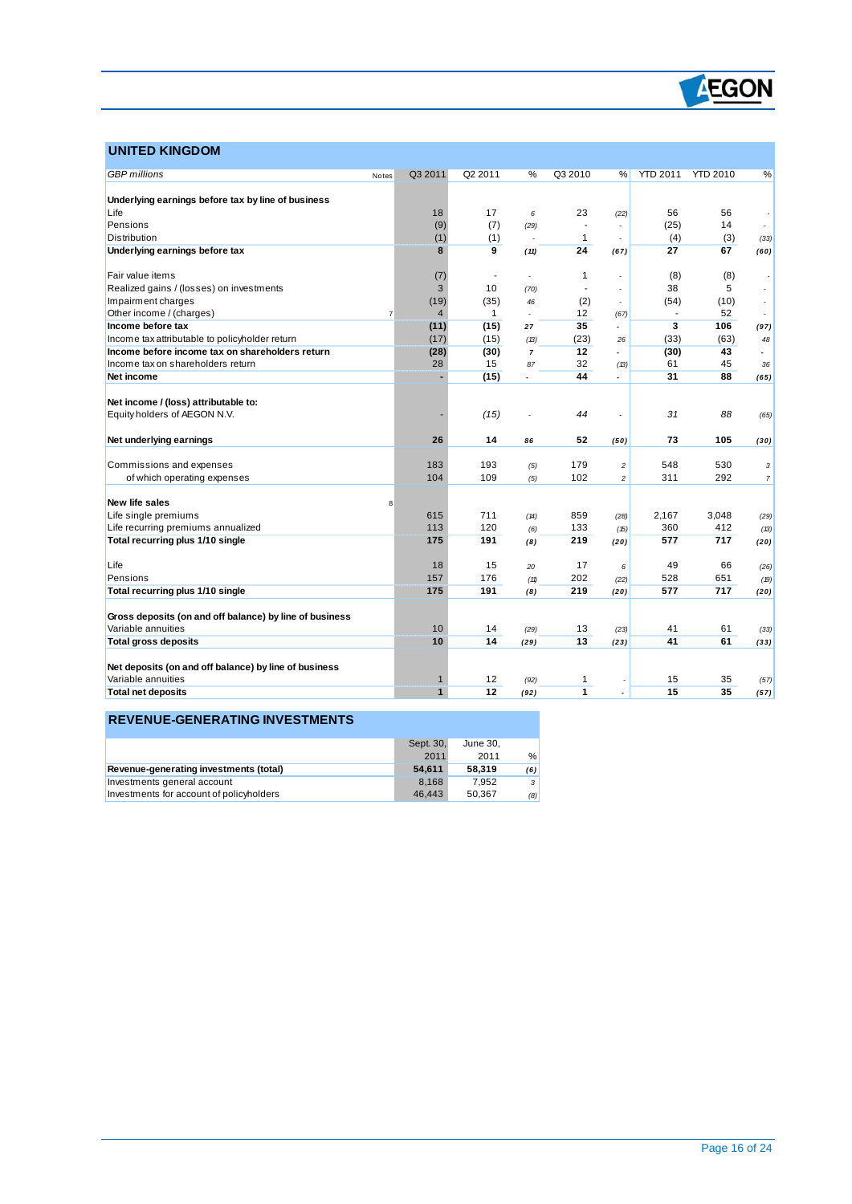

### **UNITED KINGDOM**

 $\overline{a}$ 

| <b>GBP</b> millions                                     | Notes | Q3 2011        | Q2 2011                  | %                        | Q3 2010        | %                        | <b>YTD 2011</b> | <b>YTD 2010</b> | %                        |
|---------------------------------------------------------|-------|----------------|--------------------------|--------------------------|----------------|--------------------------|-----------------|-----------------|--------------------------|
|                                                         |       |                |                          |                          |                |                          |                 |                 |                          |
| Underlying earnings before tax by line of business      |       |                |                          |                          |                |                          |                 |                 |                          |
| Life                                                    |       | 18             | 17                       | 6                        | 23             | (22)                     | 56              | 56              |                          |
| Pensions                                                |       | (9)            | (7)                      | (29)                     |                |                          | (25)            | 14              |                          |
| Distribution                                            |       | (1)            | (1)                      | ÷.                       | $\mathbf{1}$   |                          | (4)             | (3)             | (33)                     |
| Underlying earnings before tax                          |       | 8              | 9                        | (11)                     | 24             | (67)                     | 27              | 67              | (60)                     |
|                                                         |       |                |                          |                          |                |                          |                 |                 |                          |
| Fair value items                                        |       | (7)            | $\overline{\phantom{a}}$ | $\overline{a}$           | 1              |                          | (8)             | (8)             |                          |
| Realized gains / (losses) on investments                |       | 3              | 10                       | (70)                     |                |                          | 38              | 5               |                          |
| Impairment charges                                      |       | (19)           | (35)                     | 46                       | (2)            |                          | (54)            | (10)            |                          |
| Other income / (charges)                                | 7     | $\overline{4}$ | $\mathbf{1}$             | $\overline{\phantom{a}}$ | 12             | (67)                     |                 | 52              |                          |
| Income before tax                                       |       | (11)           | (15)                     | 27                       | 35             | $\overline{\phantom{a}}$ | 3               | 106             | (97)                     |
| Income tax attributable to policyholder return          |       | (17)           | (15)                     | (B)                      | (23)           | 26                       | (33)            | (63)            | 48                       |
| Income before income tax on shareholders return         |       | (28)           | (30)                     | $\overline{7}$           | 12             |                          | (30)            | 43              | $\overline{\phantom{a}}$ |
| Income tax on shareholders return                       |       | 28             | 15                       | 87                       | 32             | (13)                     | 61              | 45              | 36                       |
| Net income                                              |       |                | (15)                     | $\overline{a}$           | 44             | $\overline{a}$           | 31              | 88              | (65)                     |
|                                                         |       |                |                          |                          |                |                          |                 |                 |                          |
| Net income / (loss) attributable to:                    |       |                |                          |                          |                |                          |                 |                 |                          |
| Equity holders of AEGON N.V.                            |       |                | (15)                     |                          | 44             |                          | 31              | 88              | (65)                     |
|                                                         |       |                |                          |                          |                |                          |                 |                 |                          |
| Net underlying earnings                                 |       | 26             | 14                       | 86                       | 52             | (50)                     | 73              | 105             | (30)                     |
| Commissions and expenses                                |       | 183            | 193                      |                          | 179            | $\overline{c}$           | 548             | 530             | 3                        |
| of which operating expenses                             |       | 104            | 109                      | (5)<br>(5)               | 102            | $\overline{c}$           | 311             | 292             | $\boldsymbol{7}$         |
|                                                         |       |                |                          |                          |                |                          |                 |                 |                          |
| <b>New life sales</b>                                   | 8     |                |                          |                          |                |                          |                 |                 |                          |
| Life single premiums                                    |       | 615            | 711                      | (14)                     | 859            | (28)                     | 2,167           | 3,048           | (29)                     |
| Life recurring premiums annualized                      |       | 113            | 120                      | (6)                      | 133            | (15)                     | 360             | 412             | (13)                     |
| Total recurring plus 1/10 single                        |       | 175            | 191                      | (8)                      | 219            | (20)                     | 577             | 717             | (20)                     |
|                                                         |       |                |                          |                          |                |                          |                 |                 |                          |
| Life                                                    |       | 18             | 15                       | 20                       | 17             | 6                        | 49              | 66              | (26)                     |
| Pensions                                                |       | 157            | 176                      | (11)                     | 202            | (22)                     | 528             | 651             | (19)                     |
| Total recurring plus 1/10 single                        |       | 175            | 191                      | (8)                      | 219            | (20)                     | 577             | 717             | (20)                     |
|                                                         |       |                |                          |                          |                |                          |                 |                 |                          |
| Gross deposits (on and off balance) by line of business |       |                |                          |                          |                |                          |                 |                 |                          |
| Variable annuities                                      |       | 10             | 14                       | (29)                     | 13             | (23)                     | 41              | 61              | (33)                     |
| <b>Total gross deposits</b>                             |       | 10             | 14                       | (29)                     | 13             | (23)                     | 41              | 61              | (33)                     |
|                                                         |       |                |                          |                          |                |                          |                 |                 |                          |
| Net deposits (on and off balance) by line of business   |       |                |                          |                          |                |                          |                 |                 |                          |
| Variable annuities                                      |       | 1              | 12                       | (92)                     | 1              |                          | 15              | 35              | (57)                     |
| <b>Total net deposits</b>                               |       | $\mathbf{1}$   | 12                       | (92)                     | $\overline{1}$ |                          | 15              | 35              | (57)                     |
|                                                         |       |                |                          |                          |                |                          |                 |                 |                          |

### **REVENUE-GENERATING INVESTMENTS**

|                                          | Sept. 30. | June 30. |               |
|------------------------------------------|-----------|----------|---------------|
|                                          | 2011      | 2011     | $\frac{0}{0}$ |
| Revenue-generating investments (total)   | 54.611    | 58.319   | (6)           |
| Investments general account              | 8.168     | 7.952    | $\cdot$       |
| Investments for account of policyholders | 46.443    | 50.367   | (8)           |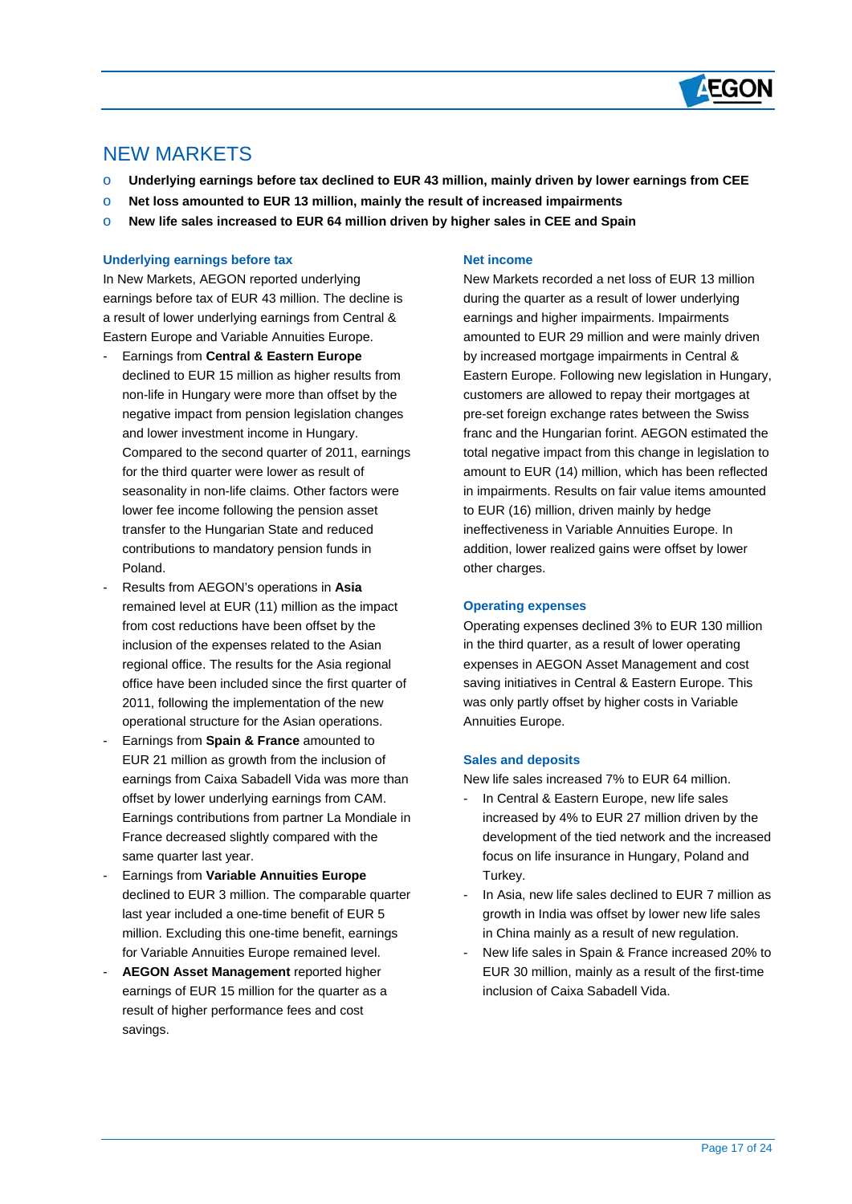

## NEW MARKETS

 $\overline{a}$ 

- o **Underlying earnings before tax declined to EUR 43 million, mainly driven by lower earnings from CEE**
- o **Net loss amounted to EUR 13 million, mainly the result of increased impairments**
- o **New life sales increased to EUR 64 million driven by higher sales in CEE and Spain**

#### **Underlying earnings before tax**

In New Markets, AEGON reported underlying earnings before tax of EUR 43 million. The decline is a result of lower underlying earnings from Central & Eastern Europe and Variable Annuities Europe.

- Earnings from **Central & Eastern Europe** declined to EUR 15 million as higher results from non-life in Hungary were more than offset by the negative impact from pension legislation changes and lower investment income in Hungary. Compared to the second quarter of 2011, earnings for the third quarter were lower as result of seasonality in non-life claims. Other factors were lower fee income following the pension asset transfer to the Hungarian State and reduced contributions to mandatory pension funds in Poland.
- Results from AEGON's operations in **Asia** remained level at EUR (11) million as the impact from cost reductions have been offset by the inclusion of the expenses related to the Asian regional office. The results for the Asia regional office have been included since the first quarter of 2011, following the implementation of the new operational structure for the Asian operations.
- Earnings from **Spain & France** amounted to EUR 21 million as growth from the inclusion of earnings from Caixa Sabadell Vida was more than offset by lower underlying earnings from CAM. Earnings contributions from partner La Mondiale in France decreased slightly compared with the same quarter last year.
- Earnings from **Variable Annuities Europe** declined to EUR 3 million. The comparable quarter last year included a one-time benefit of EUR 5 million. Excluding this one-time benefit, earnings for Variable Annuities Europe remained level.
- **AEGON Asset Management** reported higher earnings of EUR 15 million for the quarter as a result of higher performance fees and cost savings.

#### **Net income**

New Markets recorded a net loss of EUR 13 million during the quarter as a result of lower underlying earnings and higher impairments. Impairments amounted to EUR 29 million and were mainly driven by increased mortgage impairments in Central & Eastern Europe. Following new legislation in Hungary, customers are allowed to repay their mortgages at pre-set foreign exchange rates between the Swiss franc and the Hungarian forint. AEGON estimated the total negative impact from this change in legislation to amount to EUR (14) million, which has been reflected in impairments. Results on fair value items amounted to EUR (16) million, driven mainly by hedge ineffectiveness in Variable Annuities Europe. In addition, lower realized gains were offset by lower other charges.

#### **Operating expenses**

Operating expenses declined 3% to EUR 130 million in the third quarter, as a result of lower operating expenses in AEGON Asset Management and cost saving initiatives in Central & Eastern Europe. This was only partly offset by higher costs in Variable Annuities Europe.

#### **Sales and deposits**

New life sales increased 7% to EUR 64 million.

- In Central & Eastern Europe, new life sales increased by 4% to EUR 27 million driven by the development of the tied network and the increased focus on life insurance in Hungary, Poland and Turkey.
- In Asia, new life sales declined to EUR 7 million as growth in India was offset by lower new life sales in China mainly as a result of new regulation.
- New life sales in Spain & France increased 20% to EUR 30 million, mainly as a result of the first-time inclusion of Caixa Sabadell Vida.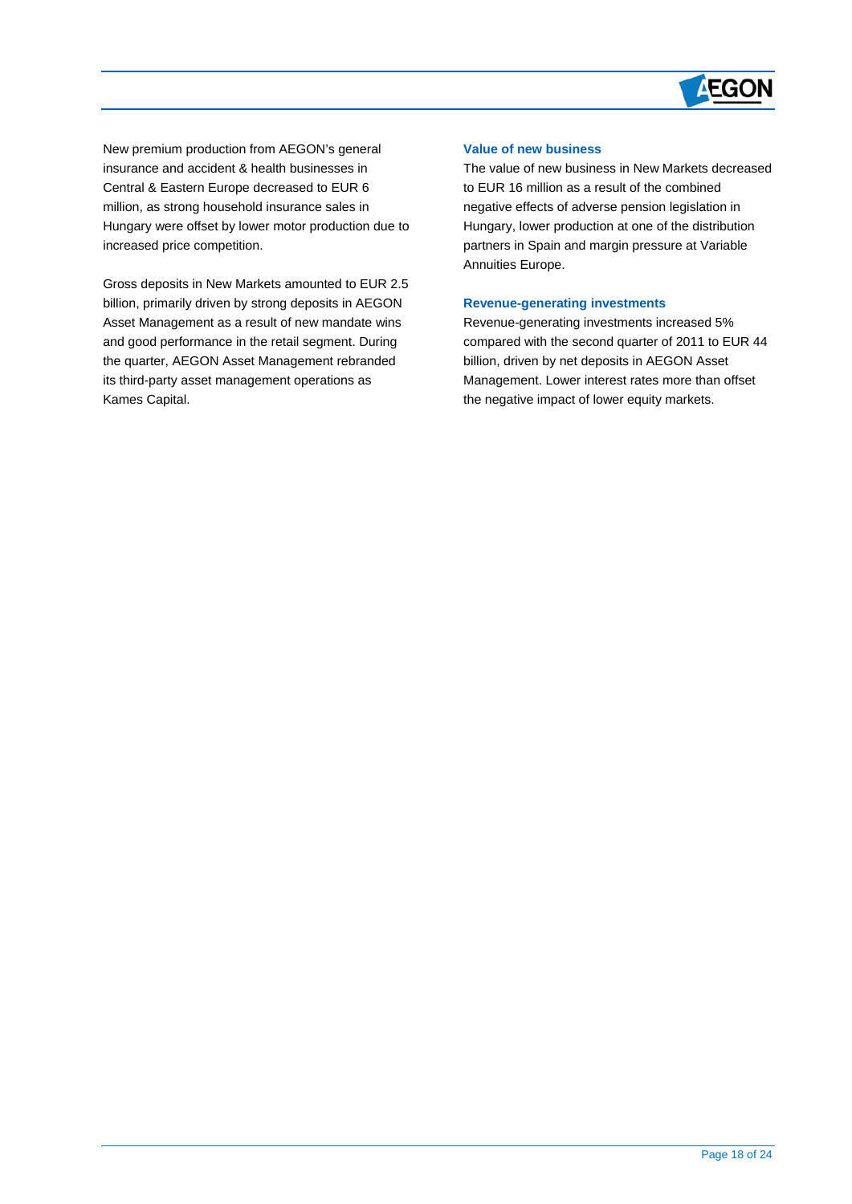

New premium production from AEGON's general insurance and accident & health businesses in Central & Eastern Europe decreased to EUR 6 million, as strong household insurance sales in Hungary were offset by lower motor production due to increased price competition.

 $\overline{a}$ 

Gross deposits in New Markets amounted to EUR 2.5 billion, primarily driven by strong deposits in AEGON Asset Management as a result of new mandate wins and good performance in the retail segment. During the quarter, AEGON Asset Management rebranded its third-party asset management operations as Kames Capital.

#### **Value of new business**

The value of new business in New Markets decreased to EUR 16 million as a result of the combined negative effects of adverse pension legislation in Hungary, lower production at one of the distribution partners in Spain and margin pressure at Variable Annuities Europe.

#### **Revenue-generating investments**

Revenue-generating investments increased 5% compared with the second quarter of 2011 to EUR 44 billion, driven by net deposits in AEGON Asset Management. Lower interest rates more than offset the negative impact of lower equity markets.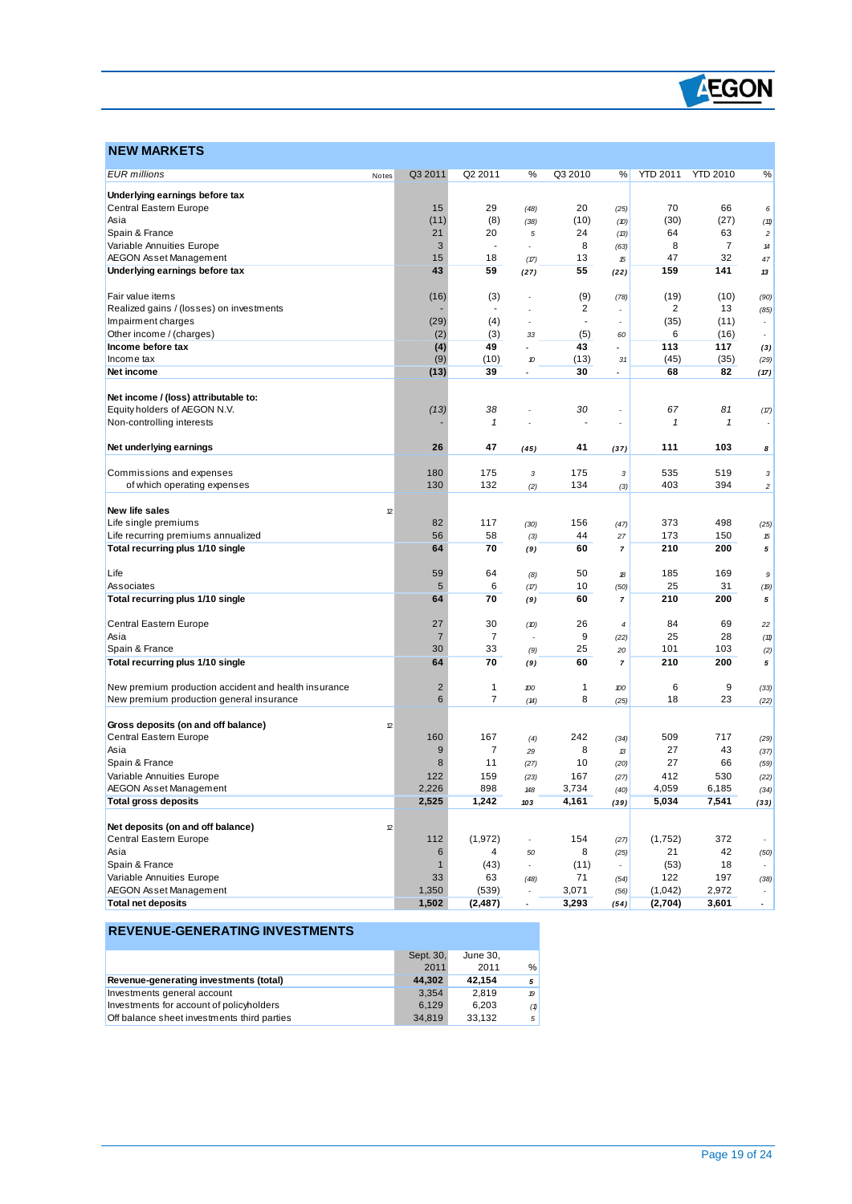

## **NEW MARKETS**

 $\overline{a}$ 

| <b>EUR</b> millions                                  | Notes | Q3 2011        | Q2 2011                  | ℅                        | Q3 2010                  | %                        | <b>YTD 2011</b> | <b>YTD 2010</b> | ℅                        |
|------------------------------------------------------|-------|----------------|--------------------------|--------------------------|--------------------------|--------------------------|-----------------|-----------------|--------------------------|
| Underlying earnings before tax                       |       |                |                          |                          |                          |                          |                 |                 |                          |
| Central Eastern Europe                               |       | 15             | 29                       | (48)                     | 20                       | (25)                     | 70              | 66              | 6                        |
| Asia                                                 |       | (11)           | (8)                      | (38)                     | (10)                     | (10)                     | (30)            | (27)            | (11)                     |
| Spain & France                                       |       | 21             | 20                       | 5                        | 24                       | (13)                     | 64              | 63              | $\boldsymbol{2}$         |
| Variable Annuities Europe                            |       | 3              | $\overline{\phantom{a}}$ |                          | 8                        | (63)                     | 8               | 7               | 14                       |
| <b>AEGON Asset Management</b>                        |       | 15             | 18                       | (17)                     | 13                       | 15                       | 47              | 32              | 47                       |
| Underlying earnings before tax                       |       | 43             | 59                       | (27)                     | 55                       | (22)                     | 159             | 141             | 13                       |
|                                                      |       |                |                          |                          |                          |                          |                 |                 |                          |
| Fair value items                                     |       | (16)           | (3)                      |                          | (9)                      | (78)                     | (19)            | (10)            | (90)                     |
| Realized gains / (losses) on investments             |       |                | $\overline{a}$           |                          | 2                        |                          | $\overline{c}$  | 13              | (85)                     |
| Impairment charges                                   |       | (29)           | (4)                      |                          | $\overline{\phantom{a}}$ |                          | (35)            | (11)            |                          |
| Other income / (charges)                             |       | (2)            | (3)                      | 33                       | (5)                      | 60                       | 6               | (16)            |                          |
| Income before tax                                    |       | (4)            | 49                       | ۷                        | 43                       | $\overline{\phantom{a}}$ | 113             | 117             | (3)                      |
| Income tax                                           |       | (9)            | (10)                     | 10                       | (13)                     | 31                       | (45)            | (35)            | (29)                     |
| Net income                                           |       | (13)           | 39                       | ٠                        | 30                       | $\overline{\phantom{a}}$ | 68              | 82              | (17)                     |
|                                                      |       |                |                          |                          |                          |                          |                 |                 |                          |
| Net income / (loss) attributable to:                 |       | (13)           | 38                       |                          | 30                       |                          | 67              | 81              |                          |
| Equity holders of AEGON N.V.                         |       |                | $\pmb{\mathcal{1}}$      |                          |                          |                          | 1               | 1               | (17)                     |
| Non-controlling interests                            |       |                |                          |                          |                          |                          |                 |                 |                          |
| Net underlying earnings                              |       | 26             | 47                       | (45)                     | 41                       | (37)                     | 111             | 103             | 8                        |
|                                                      |       |                |                          |                          |                          |                          |                 |                 |                          |
| Commissions and expenses                             |       | 180            | 175                      | 3                        | 175                      | 3                        | 535             | 519             | 3                        |
| of which operating expenses                          |       | 130            | 132                      | (2)                      | 134                      | (3)                      | 403             | 394             | $\boldsymbol{2}$         |
|                                                      |       |                |                          |                          |                          |                          |                 |                 |                          |
| <b>New life sales</b>                                | 12    |                |                          |                          |                          |                          |                 |                 |                          |
| Life single premiums                                 |       | 82             | 117                      | (30)                     | 156                      | (47)                     | 373             | 498             | (25)                     |
| Life recurring premiums annualized                   |       | 56             | 58                       | (3)                      | 44                       | 27                       | 173             | 150             | 15                       |
| Total recurring plus 1/10 single                     |       | 64             | 70                       | (9)                      | 60                       | 7                        | 210             | 200             | 5                        |
| Life                                                 |       | 59             | 64                       | (8)                      | 50                       | 18                       | 185             | 169             | 9                        |
| Associates                                           |       | 5              | 6                        | (17)                     | 10                       | (50)                     | 25              | 31              | (19)                     |
| Total recurring plus 1/10 single                     |       | 64             | 70                       | (9)                      | 60                       | 7                        | 210             | 200             | 5                        |
|                                                      |       |                |                          |                          |                          |                          |                 |                 |                          |
| Central Eastern Europe                               |       | 27             | 30                       | (D)                      | 26                       | $\overline{\mathcal{L}}$ | 84              | 69              | 22                       |
| Asia                                                 |       | $\overline{7}$ | $\overline{7}$           |                          | 9                        | (22)                     | 25              | 28              | (11)                     |
| Spain & France                                       |       | 30             | 33                       | (9)                      | 25                       | 20                       | 101             | 103             | (2)                      |
| Total recurring plus 1/10 single                     |       | 64             | 70                       | (9)                      | 60                       | 7                        | 210             | 200             | 5                        |
| New premium production accident and health insurance |       | $\overline{2}$ | 1                        | 100                      | 1                        | 100                      | 6               | 9               |                          |
| New premium production general insurance             |       | 6              | $\overline{7}$           |                          | 8                        | (25)                     | 18              | 23              | (33)                     |
|                                                      |       |                |                          | (14)                     |                          |                          |                 |                 | (22)                     |
| Gross deposits (on and off balance)                  | 12    |                |                          |                          |                          |                          |                 |                 |                          |
| Central Eastern Europe                               |       | 160            | 167                      | (4)                      | 242                      | (34)                     | 509             | 717             | (29)                     |
| Asia                                                 |       | 9              | 7                        | 29                       | 8                        | 13                       | 27              | 43              | (37)                     |
| Spain & France                                       |       | 8              | 11                       | (27)                     | 10                       | (20)                     | 27              | 66              | (59)                     |
| Variable Annuities Europe                            |       | 122            | 159                      | (23)                     | 167                      | (27)                     | 412             | 530             | (22)                     |
| <b>AEGON Asset Management</b>                        |       | 2,226          | 898                      | 148                      | 3,734                    | (40)                     | 4,059           | 6,185           | (34)                     |
| Total gross deposits                                 |       | 2,525          | 1,242                    | 103                      | 4,161                    | (39)                     | 5,034           | 7,541           | (33)                     |
|                                                      |       |                |                          |                          |                          |                          |                 |                 |                          |
| Net deposits (on and off balance)                    | 12    |                |                          |                          |                          |                          |                 |                 |                          |
| Central Eastern Europe                               |       | 112            | (1, 972)                 | ÷                        | 154                      | (27)                     | (1,752)         | 372             | $\overline{\phantom{a}}$ |
| Asia                                                 |       | 6              | 4                        | 50                       | 8                        | (25)                     | 21              | 42              | (50)                     |
| Spain & France                                       |       | $\mathbf{1}$   | (43)                     | $\overline{a}$           | (11)                     |                          | (53)            | 18              |                          |
| Variable Annuities Europe                            |       | 33             | 63                       | (48)                     | 71                       | (54)                     | 122             | 197             | (38)                     |
| AEGON Asset Management                               |       | 1,350          | (539)                    |                          | 3,071                    | (56)                     | (1,042)         | 2,972           |                          |
| <b>Total net deposits</b>                            |       | 1,502          | (2, 487)                 | $\overline{\phantom{a}}$ | 3,293                    | (54)                     | (2,704)         | 3,601           |                          |

#### **REVENUE-GENERATING INVESTMENTS**

|                                             | Sept. 30, | June 30. |               |
|---------------------------------------------|-----------|----------|---------------|
|                                             | 2011      | 2011     | $\frac{0}{0}$ |
| Revenue-generating investments (total)      | 44.302    | 42.154   | 5             |
| Investments general account                 | 3.354     | 2.819    | 19            |
| Investments for account of policyholders    | 6.129     | 6.203    | (1)           |
| Off balance sheet investments third parties | 34.819    | 33.132   | 5             |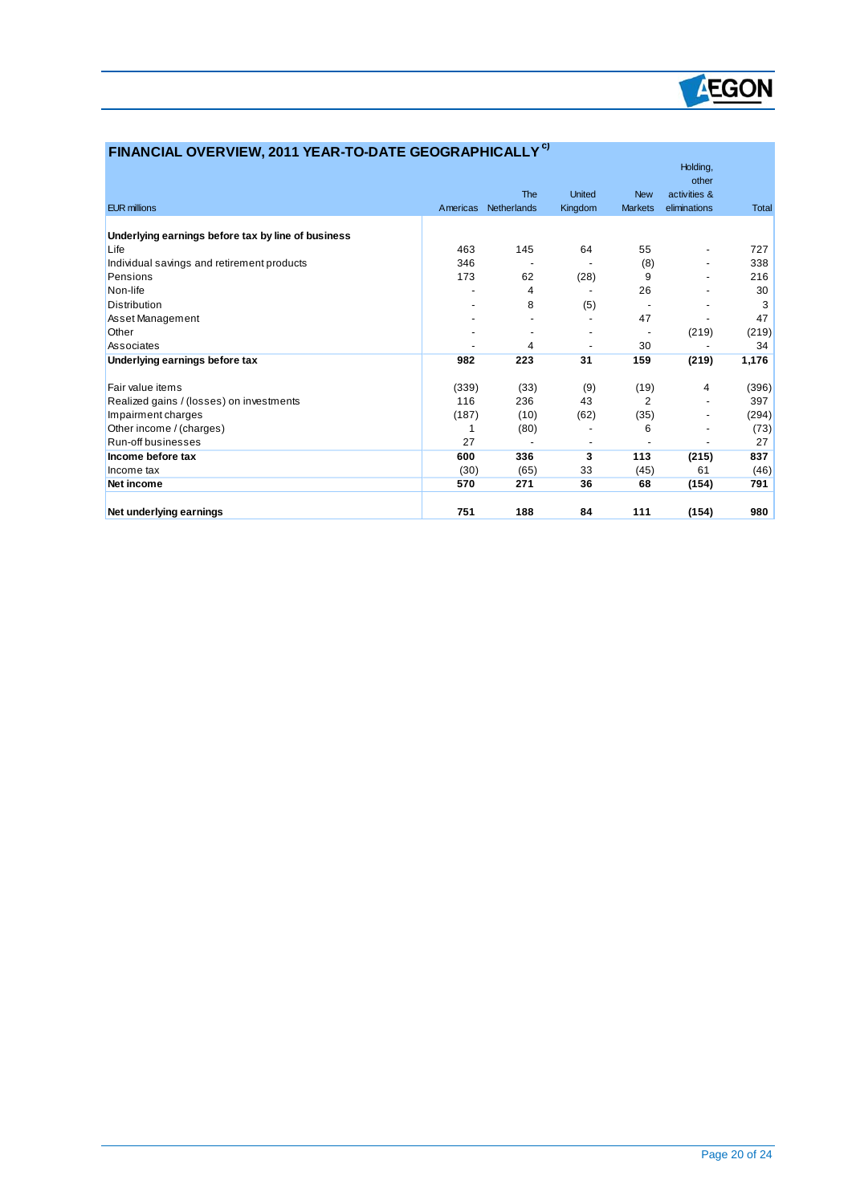

| FINANCIAL OVERVIEW, 2011 YEAR-TO-DATE GEOGRAPHICALLY <sup>C)</sup> |          |             |                              |                |                              |              |
|--------------------------------------------------------------------|----------|-------------|------------------------------|----------------|------------------------------|--------------|
|                                                                    |          |             |                              |                | Holding,                     |              |
|                                                                    |          |             |                              |                | other                        |              |
|                                                                    |          | The         | <b>United</b>                | <b>New</b>     | activities &                 |              |
| <b>EUR millions</b>                                                | Americas | Netherlands | Kingdom                      | <b>Markets</b> | eliminations                 | <b>Total</b> |
| Underlying earnings before tax by line of business                 |          |             |                              |                |                              |              |
| Life                                                               | 463      | 145         | 64                           | 55             | $\qquad \qquad \blacksquare$ | 727          |
| Individual savings and retirement products                         | 346      |             |                              | (8)            | $\overline{\phantom{a}}$     | 338          |
| Pensions                                                           | 173      | 62          | (28)                         | 9              |                              | 216          |
| Non-life                                                           |          | 4           |                              | 26             |                              | 30           |
| Distribution                                                       |          | 8           | (5)                          |                |                              | 3            |
| Asset Management                                                   |          |             |                              | 47             |                              | 47           |
| Other                                                              |          |             |                              |                | (219)                        | (219)        |
| Associates                                                         |          | 4           |                              | 30             |                              | 34           |
| Underlying earnings before tax                                     | 982      | 223         | 31                           | 159            | (219)                        | 1,176        |
| Fair value items                                                   | (339)    | (33)        | (9)                          | (19)           | 4                            | (396)        |
| Realized gains / (losses) on investments                           | 116      | 236         | 43                           | $\overline{2}$ |                              | 397          |
| Impairment charges                                                 | (187)    | (10)        | (62)                         | (35)           | $\overline{\phantom{a}}$     | (294)        |
| Other income / (charges)                                           | 1        | (80)        |                              | 6              |                              | (73)         |
| Run-off businesses                                                 | 27       |             | $\qquad \qquad \blacksquare$ |                |                              | 27           |
| Income before tax                                                  | 600      | 336         | 3                            | 113            | (215)                        | 837          |
| Income tax                                                         | (30)     | (65)        | 33                           | (45)           | 61                           | (46)         |
| Net income                                                         | 570      | 271         | 36                           | 68             | (154)                        | 791          |
| Net underlying earnings                                            | 751      | 188         | 84                           | 111            | (154)                        | 980          |

 $\overline{a}$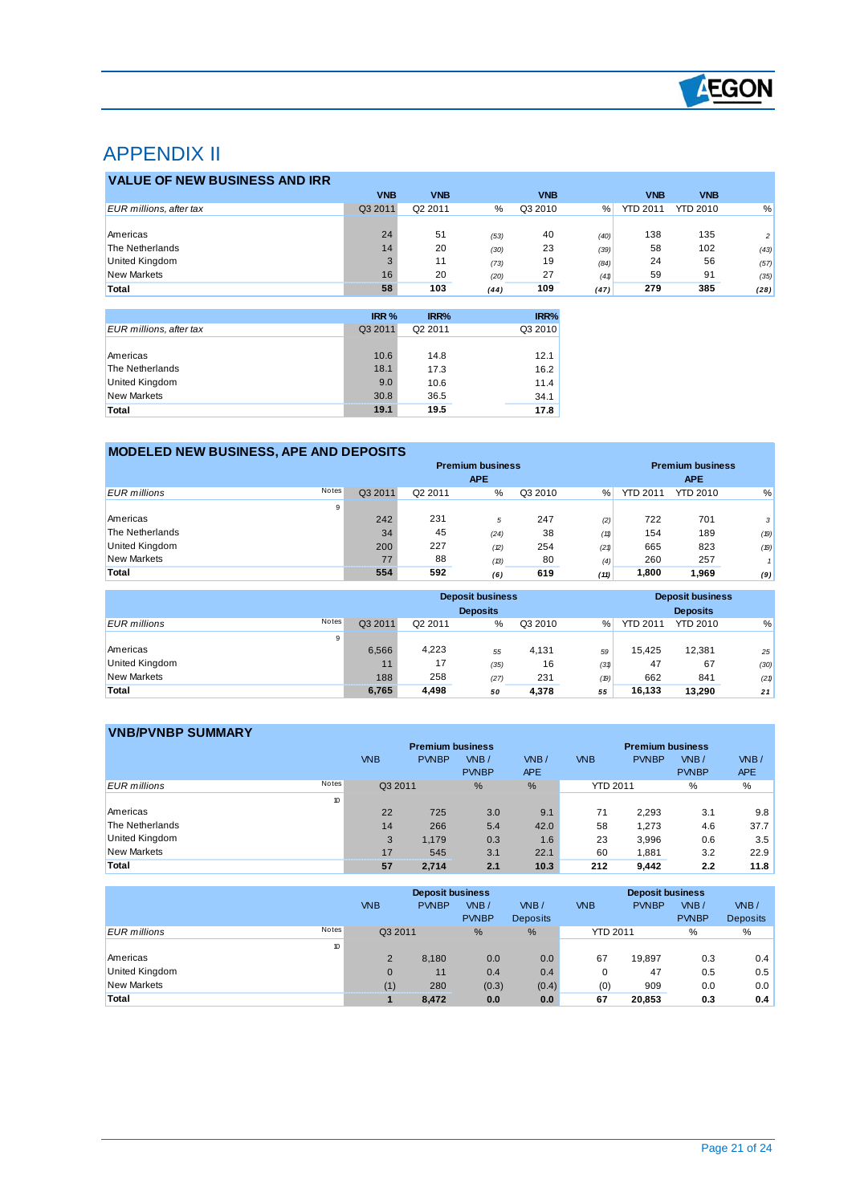

## APPENDIX II

 $\overline{a}$ 

| <b>VALUE OF NEW BUSINESS AND IRR</b> |            |            |      |            |      |                 |                 |                |
|--------------------------------------|------------|------------|------|------------|------|-----------------|-----------------|----------------|
|                                      | <b>VNB</b> | <b>VNB</b> |      | <b>VNB</b> |      | <b>VNB</b>      | <b>VNB</b>      |                |
| EUR millions, after tax              | Q3 2011    | Q2 2011    | %    | Q3 2010    | %    | <b>YTD 2011</b> | <b>YTD 2010</b> | %              |
|                                      |            |            |      |            |      |                 |                 |                |
| Americas                             | 24         | 51         | (53) | 40         | (40) | 138             | 135             | $\overline{2}$ |
| The Netherlands                      | 14         | 20         | (30) | 23         | (39) | 58              | 102             | (43)           |
| United Kingdom                       |            | 11         | (73) | 19         | (84) | 24              | 56              | (57)           |
| <b>New Markets</b>                   | 16         | 20         | (20) | 27         | (41) | 59              | 91              | (35)           |
| Total                                | 58         | 103        | (44) | 109        | (47) | 279             | 385             | (28)           |

|                         | IRR %   | IRR%    | IRR%    |
|-------------------------|---------|---------|---------|
| EUR millions, after tax | Q3 2011 | Q2 2011 | Q3 2010 |
|                         |         |         |         |
| Americas                | 10.6    | 14.8    | 12.1    |
| The Netherlands         | 18.1    | 17.3    | 16.2    |
| <b>United Kingdom</b>   | 9.0     | 10.6    | 11.4    |
| <b>New Markets</b>      | 30.8    | 36.5    | 34.1    |
| Total                   | 19.1    | 19.5    | 17.8    |

### **MODELED NEW BUSINESS, APE AND DEPOSITS**

|                     |              | <b>Premium business</b> |         |            |         |      |                 | <b>Premium business</b> |              |
|---------------------|--------------|-------------------------|---------|------------|---------|------|-----------------|-------------------------|--------------|
|                     |              |                         |         | <b>APE</b> |         |      |                 | <b>APE</b>              |              |
| <b>EUR</b> millions | <b>Notes</b> | Q3 2011                 | Q2 2011 | %          | Q3 2010 | $\%$ | <b>YTD 2011</b> | <b>YTD 2010</b>         | %            |
|                     | 9            |                         |         |            |         |      |                 |                         |              |
| Americas            |              | 242                     | 231     | 5          | 247     | (2)  | 722             | 701                     | $\mathbf{3}$ |
| The Netherlands     |              | 34                      | 45      | (24)       | 38      | (11) | 154             | 189                     | (19)         |
| United Kingdom      |              | 200                     | 227     | (2)        | 254     | (21) | 665             | 823                     | (19)         |
| <b>New Markets</b>  |              | 77                      | 88      | (13)       | 80      | (4)  | 260             | 257                     | п            |
| Total               |              | 554                     | 592     | (6)        | 619     | (11) | 1,800           | 1.969                   | (9)          |

|                              |         | <b>Deposit business</b> |      | <b>Deposit business</b><br><b>Deposits</b> |      |                 |                 |      |
|------------------------------|---------|-------------------------|------|--------------------------------------------|------|-----------------|-----------------|------|
| Notes<br><b>EUR</b> millions | Q3 2011 | Q2 2011                 | %    | Q3 2010                                    | $\%$ | <b>YTD 2011</b> | <b>YTD 2010</b> | %    |
| 9                            |         |                         |      |                                            |      |                 |                 |      |
| Americas                     | 6.566   | 4,223                   | 55   | 4,131                                      | 59   | 15.425          | 12,381          | 25   |
| <b>United Kingdom</b>        | 11      | 17                      | (35) | 16                                         | (31) | 47              | 67              | (30) |
| <b>New Markets</b>           | 188     | 258                     | (27) | 231                                        | (19) | 662             | 841             | (21) |
| Total                        | 6,765   | 4,498                   | 50   | 4,378                                      | 55   | 16.133          | 13.290          | 21   |

### **VNB/PVNBP SUMMARY**

| .                            |            | <b>Premium business</b> |                        |                    |                 | <b>Premium business</b> |                      |                    |
|------------------------------|------------|-------------------------|------------------------|--------------------|-----------------|-------------------------|----------------------|--------------------|
|                              | <b>VNB</b> | <b>PVNBP</b>            | $W$ B/<br><b>PVNBP</b> | VNB/<br><b>APE</b> | <b>VNB</b>      | <b>PVNBP</b>            | VNB/<br><b>PVNBP</b> | VNB/<br><b>APE</b> |
| Notes<br><b>EUR</b> millions | Q3 2011    |                         | $\frac{9}{6}$          | %                  | <b>YTD 2011</b> |                         | %                    | %                  |
| 10                           |            |                         |                        |                    |                 |                         |                      |                    |
| Americas                     | 22         | 725                     | 3.0                    | 9.1                | 71              | 2.293                   | 3.1                  | 9.8                |
| The Netherlands              | 14         | 266                     | 5.4                    | 42.0               | 58              | 1.273                   | 4.6                  | 37.7               |
| United Kingdom               | 3          | 1.179                   | 0.3                    | 1.6                | 23              | 3.996                   | 0.6                  | 3.5                |
| <b>New Markets</b>           | 17         | 545                     | 3.1                    | 22.1               | 60              | 1,881                   | 3.2                  | 22.9               |
| Total                        | 57         | 2.714                   | 2.1                    | 10.3               | 212             | 9,442                   | 2.2                  | 11.8               |

|                              |              | <b>Deposit business</b> |              |                 |                 | <b>Deposit business</b> |              |                 |
|------------------------------|--------------|-------------------------|--------------|-----------------|-----------------|-------------------------|--------------|-----------------|
|                              | <b>VNB</b>   | <b>PVNBP</b>            | $W$ B/       | VNB/            | <b>VNB</b>      | <b>PVNBP</b>            | VNB/         | VNB/            |
|                              |              |                         | <b>PVNBP</b> | <b>Deposits</b> |                 |                         | <b>PVNBP</b> | <b>Deposits</b> |
| Notes<br><b>EUR</b> millions |              | Q3 2011                 | $\%$         | $\frac{9}{6}$   | <b>YTD 2011</b> |                         | $\%$         | %               |
|                              | 10           |                         |              |                 |                 |                         |              |                 |
| Americas                     | 2            | 8.180                   | 0.0          | 0.0             | 67              | 19.897                  | 0.3          | 0.4             |
| United Kingdom               | $\mathbf{0}$ | 11                      | 0.4          | 0.4             | 0               | 47                      | 0.5          | 0.5             |
| <b>New Markets</b>           | (1)          | 280                     | (0.3)        | (0.4)           | (0)             | 909                     | 0.0          | 0.0             |
| Total                        |              | 8,472                   | 0.0          | 0.0             | 67              | 20.853                  | 0.3          | 0.4             |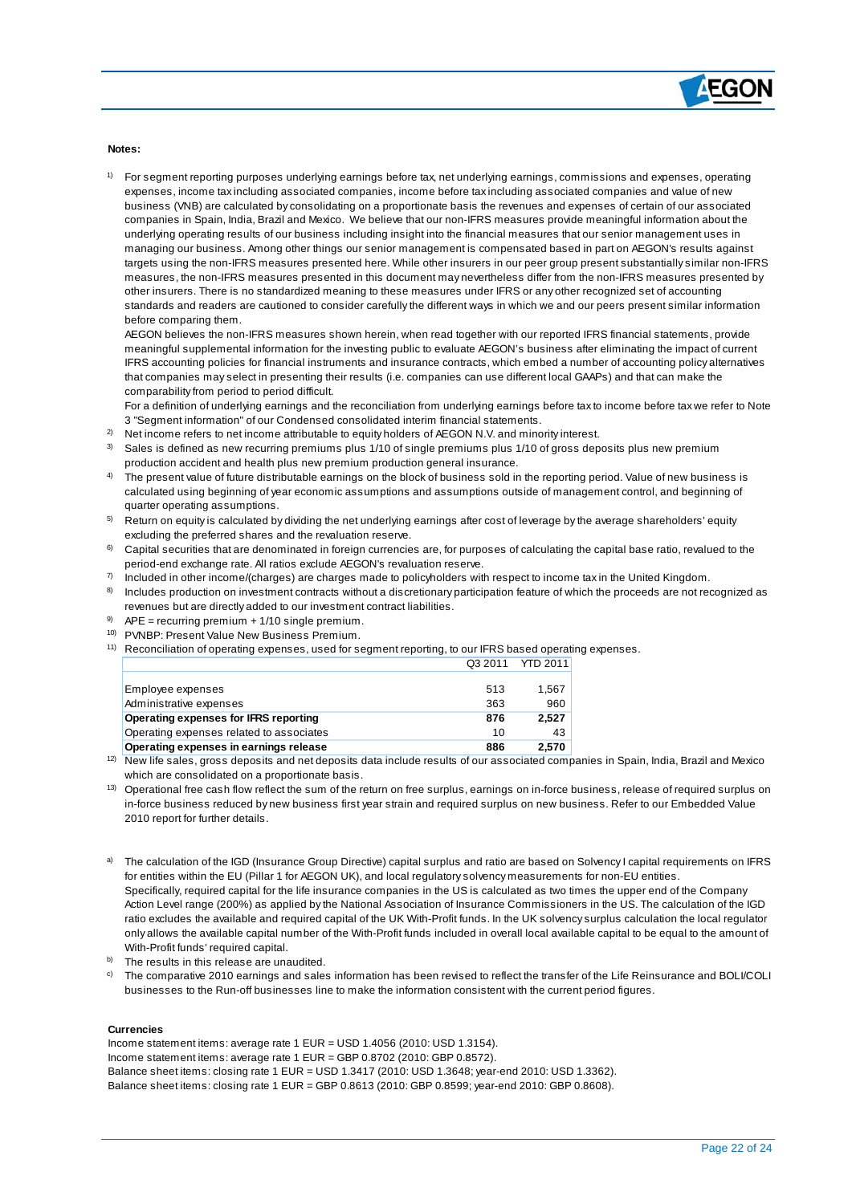

#### **Notes:**

 $\overline{a}$ 

1) For segment reporting purposes underlying earnings before tax, net underlying earnings, commissions and expenses, operating expenses, income tax including associated companies, income before tax including associated companies and value of new business (VNB) are calculated by consolidating on a proportionate basis the revenues and expenses of certain of our associated companies in Spain, India, Brazil and Mexico. We believe that our non-IFRS measures provide meaningful information about the underlying operating results of our business including insight into the financial measures that our senior management uses in managing our business. Among other things our senior management is compensated based in part on AEGON's results against targets using the non-IFRS measures presented here. While other insurers in our peer group present substantially similar non-IFRS measures, the non-IFRS measures presented in this document may nevertheless differ from the non-IFRS measures presented by other insurers. There is no standardized meaning to these measures under IFRS or any other recognized set of accounting standards and readers are cautioned to consider carefully the different ways in which we and our peers present similar information before comparing them.

AEGON believes the non-IFRS measures shown herein, when read together with our reported IFRS financial statements, provide meaningful supplemental information for the investing public to evaluate AEGON's business after eliminating the impact of current IFRS accounting policies for financial instruments and insurance contracts, which embed a number of accounting policy alternatives that companies may select in presenting their results (i.e. companies can use different local GAAPs) and that can make the comparability from period to period difficult.

For a definition of underlying earnings and the reconciliation from underlying earnings before tax to income before tax we refer to Note 3 "Segment information" of our Condensed consolidated interim financial statements.

- $^{2)}$  Net income refers to net income attributable to equity holders of AEGON N.V. and minority interest.
- $3$  Sales is defined as new recurring premiums plus 1/10 of single premiums plus 1/10 of gross deposits plus new premium production accident and health plus new premium production general insurance.
- 4) The present value of future distributable earnings on the block of business sold in the reporting period. Value of new business is calculated using beginning of year economic assumptions and assumptions outside of management control, and beginning of quarter operating assumptions.
- $5$  Return on equity is calculated by dividing the net underlying earnings after cost of leverage by the average shareholders' equity excluding the preferred shares and the revaluation reserve.
- $6$  Capital securities that are denominated in foreign currencies are, for purposes of calculating the capital base ratio, revalued to the period-end exchange rate. All ratios exclude AEGON's revaluation reserve.
- $^{7)}$  Included in other income/(charges) are charges made to policyholders with respect to income tax in the United Kingdom.
- 8) Includes production on investment contracts without a discretionary participation feature of which the proceeds are not recognized as revenues but are directly added to our investment contract liabilities.
- $9$  APE = recurring premium + 1/10 single premium.
- 10) PVNBP: Present Value New Business Premium.
- <sup>11)</sup> Reconciliation of operating expenses, used for segment reporting, to our IFRS based operating expenses. Q3 2011 YTD 2011

| Employee expenses                        | 513 | 1.567 |
|------------------------------------------|-----|-------|
| Administrative expenses                  | 363 | 960   |
| Operating expenses for IFRS reporting    | 876 | 2.527 |
| Operating expenses related to associates | 10  | 43    |
| Operating expenses in earnings release   | 886 | 2.570 |
|                                          |     |       |

<sup>12)</sup> New life sales, gross deposits and net deposits data include results of our associated companies in Spain, India, Brazil and Mexico which are consolidated on a proportionate basis.

- <sup>13)</sup> Operational free cash flow reflect the sum of the return on free surplus, earnings on in-force business, release of required surplus on in-force business reduced by new business first year strain and required surplus on new business. Refer to our Embedded Value 2010 report for further details.
- a) The calculation of the IGD (Insurance Group Directive) capital surplus and ratio are based on Solvency I capital requirements on IFRS for entities within the EU (Pillar 1 for AEGON UK), and local regulatory solvency measurements for non-EU entities. Specifically, required capital for the life insurance companies in the US is calculated as two times the upper end of the Company Action Level range (200%) as applied by the National Association of Insurance Commissioners in the US. The calculation of the IGD ratio excludes the available and required capital of the UK With-Profit funds. In the UK solvency surplus calculation the local regulator only allows the available capital number of the With-Profit funds included in overall local available capital to be equal to the amount of With-Profit funds' required capital.
- b) The results in this release are unaudited.
- <sup>c)</sup> The comparative 2010 earnings and sales information has been revised to reflect the transfer of the Life Reinsurance and BOLI/COLI businesses to the Run-off businesses line to make the information consistent with the current period figures.

#### **Currencies**

Income statement items: average rate 1 EUR = USD 1.4056 (2010: USD 1.3154). Income statement items: average rate 1 EUR = GBP 0.8702 (2010: GBP 0.8572). Balance sheet items: closing rate 1 EUR = USD 1.3417 (2010: USD 1.3648; year-end 2010: USD 1.3362). Balance sheet items: closing rate 1 EUR = GBP 0.8613 (2010: GBP 0.8599; year-end 2010: GBP 0.8608).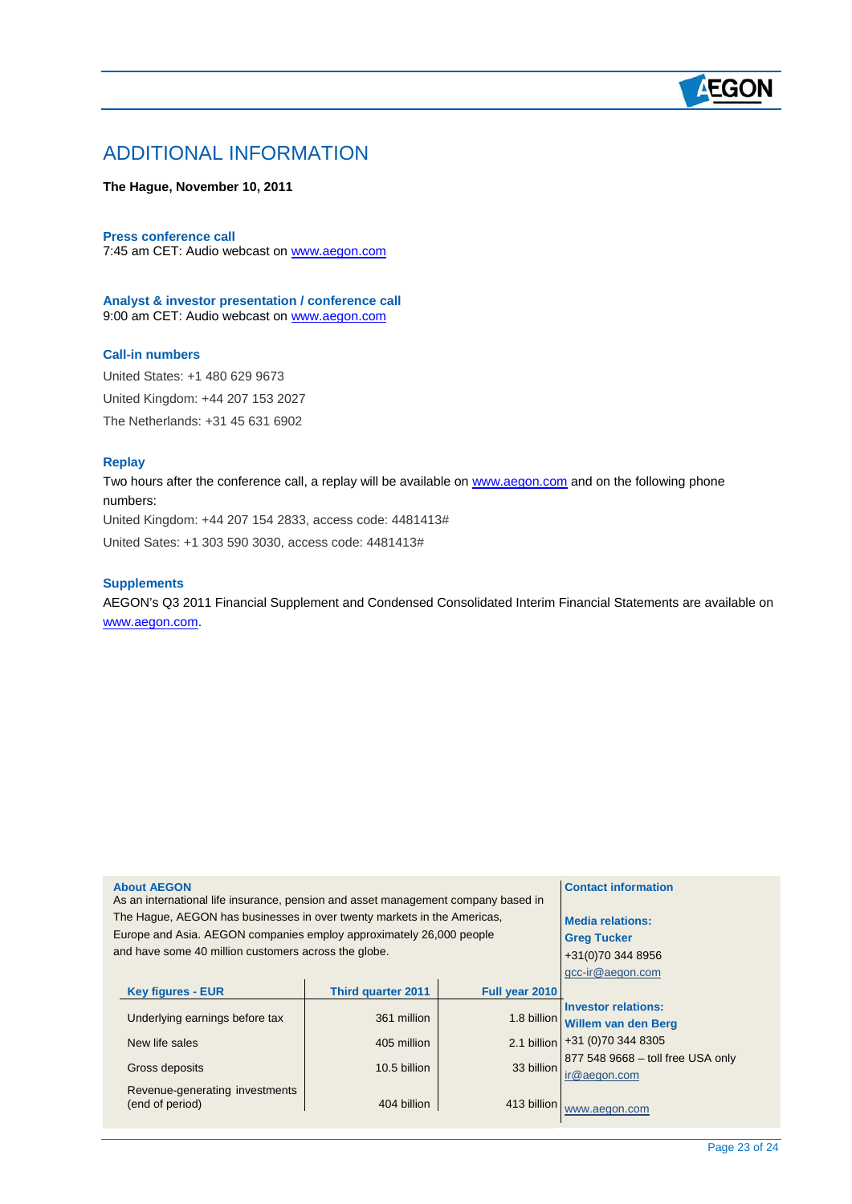## **AEGON**

## ADDITIONAL INFORMATION

#### **The Hague, November 10, 2011**

#### **Press conference call**

7:45 am CET: Audio webcast on [www.aegon.com](http://www.aegon.com/)

**Analyst & investor presentation / conference call** 9:00 am CET: Audio webcast on [www.aegon.com](http://www.aegon.com/)

#### **Call-in numbers**

United States: +1 480 629 9673 United Kingdom: +44 207 153 2027 The Netherlands: +31 45 631 6902

#### **Replay**

 $\overline{a}$ 

Two hours after the conference call, a replay will be available on [www.aegon.com](http://www.aegon.com/) and on the following phone numbers:

United Kingdom: +44 207 154 2833, access code: 4481413#

United Sates: +1 303 590 3030, access code: 4481413#

#### **Supplements**

AEGON's Q3 2011 Financial Supplement and Condensed Consolidated Interim Financial Statements are available on [www.aegon.com.](http://www.aegon.com/)

| 877 548 9668 - toll free USA only |
|-----------------------------------|
|                                   |
|                                   |
|                                   |